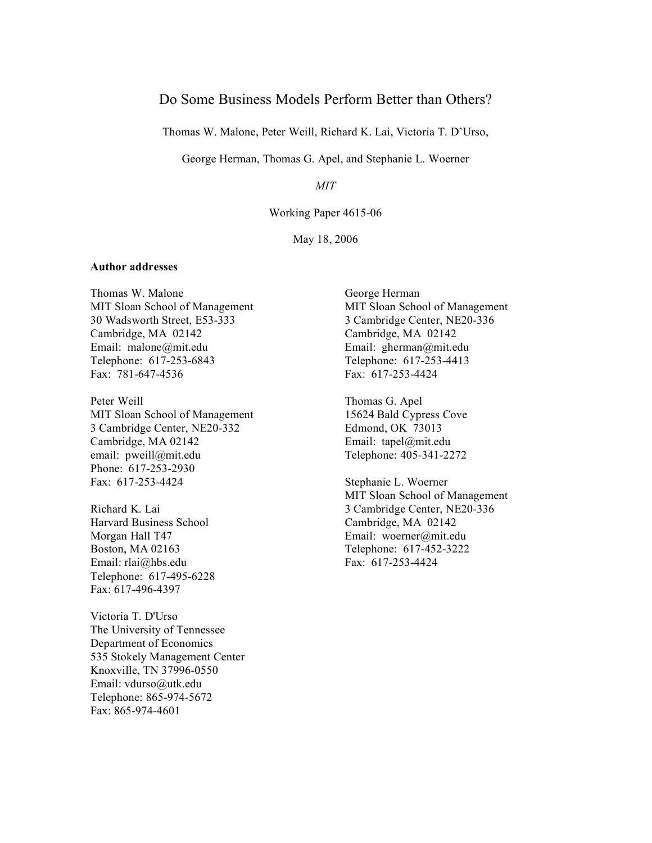## Do Some Business Models Perform Better than Others?

Thomas W. Malone, Peter Weill, Richard K. Lai, Victoria T. D'Urso,

George Herman, Thomas G. Apel, and Stephanie L. Woerner

*MIT*

Working Paper 4615-06

May 18, 2006

#### **Author addresses**

Thomas W. Malone MIT Sloan School of Management 30 Wadsworth Street, E53-333 Cambridge, MA 02142 Email: malone@mit.edu Telephone: 617-253-6843 Fax: 781-647-4536

Peter Weill MIT Sloan School of Management 3 Cambridge Center, NE20-332 Cambridge, MA 02142 email: pweill@mit.edu Phone: 617-253-2930 Fax: 617-253-4424

Richard K. Lai Harvard Business School Morgan Hall T47 Boston, MA 02163 Email: rlai@hbs.edu Telephone: 617-495-6228 Fax: 617-496-4397

Victoria T. D'Urso The University of Tennessee Department of Economics 535 Stokely Management Center Knoxville, TN 37996-0550 Email: vdurso@utk.edu Telephone: 865-974-5672 Fax: 865-974-4601

George Herman MIT Sloan School of Management 3 Cambridge Center, NE20-336 Cambridge, MA 02142 Email: gherman@mit.edu Telephone: 617-253-4413 Fax: 617-253-4424

Thomas G. Apel 15624 Bald Cypress Cove Edmond, OK 73013 Email: tapel@mit.edu Telephone: 405-341-2272

Stephanie L. Woerner MIT Sloan School of Management 3 Cambridge Center, NE20-336 Cambridge, MA 02142 Email: woerner@mit.edu Telephone: 617-452-3222 Fax: 617-253-4424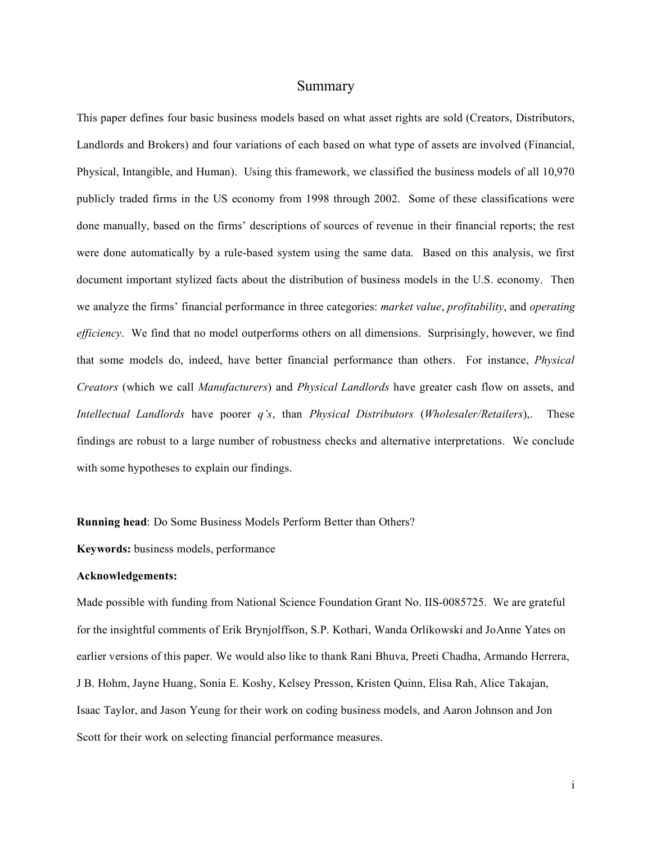## Summary

This paper defines four basic business models based on what asset rights are sold (Creators, Distributors, Landlords and Brokers) and four variations of each based on what type of assets are involved (Financial, Physical, Intangible, and Human). Using this framework, we classified the business models of all 10,970 publicly traded firms in the US economy from 1998 through 2002. Some of these classifications were done manually, based on the firms' descriptions of sources of revenue in their financial reports; the rest were done automatically by a rule-based system using the same data. Based on this analysis, we first document important stylized facts about the distribution of business models in the U.S. economy. Then we analyze the firms' financial performance in three categories: *market value*, *profitability*, and *operating efficiency*. We find that no model outperforms others on all dimensions. Surprisingly, however, we find that some models do, indeed, have better financial performance than others. For instance, *Physical Creators* (which we call *Manufacturers*) and *Physical Landlords* have greater cash flow on assets, and *Intellectual Landlords* have poorer *q's*, than *Physical Distributors* (*Wholesaler/Retailers*),. These findings are robust to a large number of robustness checks and alternative interpretations. We conclude with some hypotheses to explain our findings.

## **Running head**: Do Some Business Models Perform Better than Others?

**Keywords:** business models, performance

#### **Acknowledgements:**

Made possible with funding from National Science Foundation Grant No. IIS-0085725. We are grateful for the insightful comments of Erik Brynjolffson, S.P. Kothari, Wanda Orlikowski and JoAnne Yates on earlier versions of this paper. We would also like to thank Rani Bhuva, Preeti Chadha, Armando Herrera, J B. Hohm, Jayne Huang, Sonia E. Koshy, Kelsey Presson, Kristen Quinn, Elisa Rah, Alice Takajan, Isaac Taylor, and Jason Yeung for their work on coding business models, and Aaron Johnson and Jon Scott for their work on selecting financial performance measures.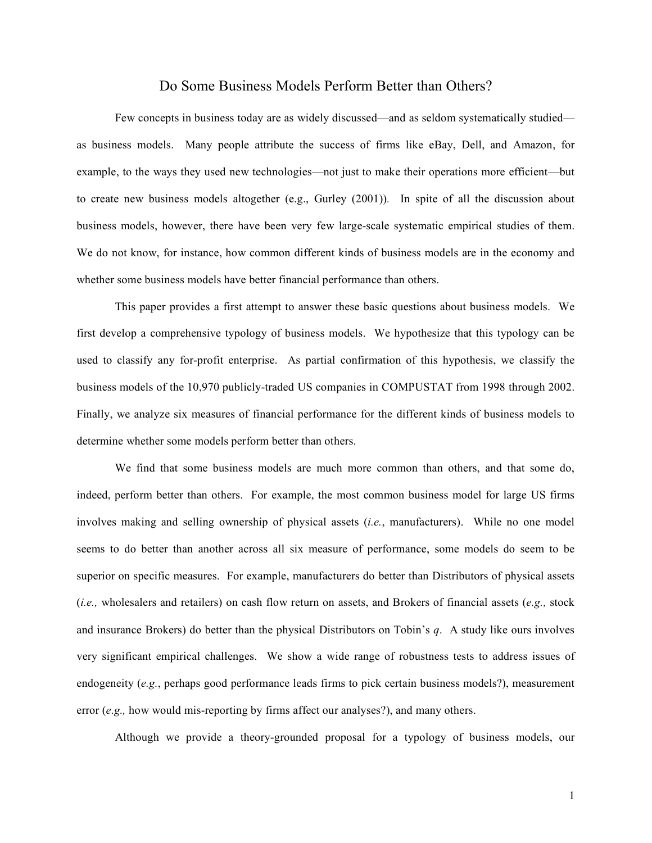## Do Some Business Models Perform Better than Others?

Few concepts in business today are as widely discussed—and as seldom systematically studied as business models. Many people attribute the success of firms like eBay, Dell, and Amazon, for example, to the ways they used new technologies—not just to make their operations more efficient—but to create new business models altogether (e.g., Gurley (2001))*.* In spite of all the discussion about business models, however, there have been very few large-scale systematic empirical studies of them. We do not know, for instance, how common different kinds of business models are in the economy and whether some business models have better financial performance than others.

This paper provides a first attempt to answer these basic questions about business models. We first develop a comprehensive typology of business models. We hypothesize that this typology can be used to classify any for-profit enterprise. As partial confirmation of this hypothesis, we classify the business models of the 10,970 publicly-traded US companies in COMPUSTAT from 1998 through 2002. Finally, we analyze six measures of financial performance for the different kinds of business models to determine whether some models perform better than others.

We find that some business models are much more common than others, and that some do, indeed, perform better than others. For example, the most common business model for large US firms involves making and selling ownership of physical assets (*i.e.*, manufacturers). While no one model seems to do better than another across all six measure of performance, some models do seem to be superior on specific measures. For example, manufacturers do better than Distributors of physical assets (*i.e.,* wholesalers and retailers) on cash flow return on assets, and Brokers of financial assets (*e.g.,* stock and insurance Brokers) do better than the physical Distributors on Tobin's *q*. A study like ours involves very significant empirical challenges. We show a wide range of robustness tests to address issues of endogeneity (*e.g.*, perhaps good performance leads firms to pick certain business models?), measurement error (*e.g.,* how would mis-reporting by firms affect our analyses?), and many others.

Although we provide a theory-grounded proposal for a typology of business models, our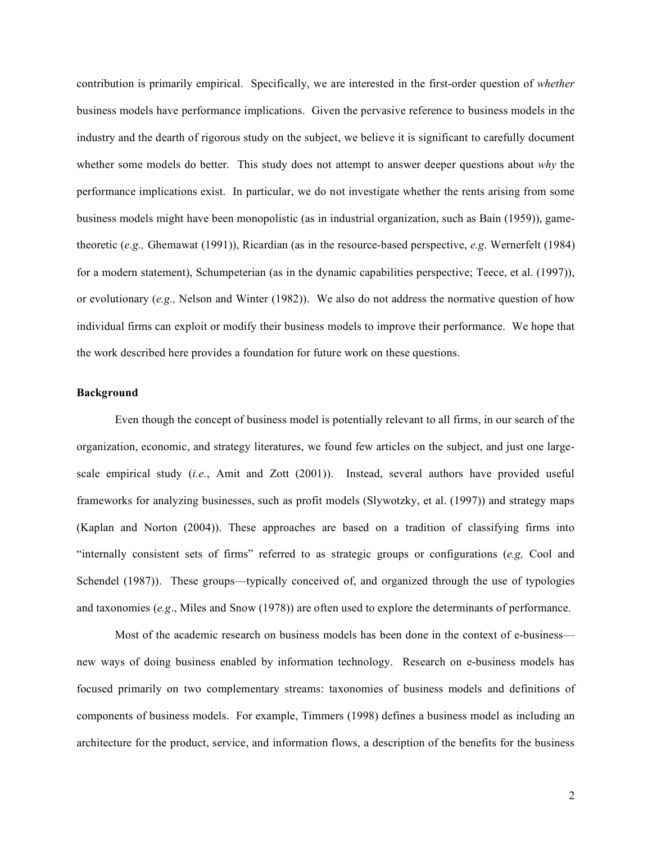contribution is primarily empirical. Specifically, we are interested in the first-order question of *whether* business models have performance implications. Given the pervasive reference to business models in the industry and the dearth of rigorous study on the subject, we believe it is significant to carefully document whether some models do better. This study does not attempt to answer deeper questions about *why* the performance implications exist. In particular, we do not investigate whether the rents arising from some business models might have been monopolistic (as in industrial organization, such as Bain (1959)), gametheoretic (*e.g.,* Ghemawat (1991)), Ricardian (as in the resource-based perspective, *e.g.* Wernerfelt (1984) for a modern statement), Schumpeterian (as in the dynamic capabilities perspective; Teece, et al. (1997)), or evolutionary (*e.g.,* Nelson and Winter (1982)). We also do not address the normative question of how individual firms can exploit or modify their business models to improve their performance. We hope that the work described here provides a foundation for future work on these questions.

## **Background**

Even though the concept of business model is potentially relevant to all firms, in our search of the organization, economic, and strategy literatures, we found few articles on the subject, and just one largescale empirical study (*i.e.*, Amit and Zott (2001)). Instead, several authors have provided useful frameworks for analyzing businesses, such as profit models (Slywotzky, et al. (1997)) and strategy maps (Kaplan and Norton (2004)). These approaches are based on a tradition of classifying firms into "internally consistent sets of firms" referred to as strategic groups or configurations (*e.g,* Cool and Schendel (1987)). These groups—typically conceived of, and organized through the use of typologies and taxonomies (*e.g*., Miles and Snow (1978)) are often used to explore the determinants of performance.

Most of the academic research on business models has been done in the context of e-business new ways of doing business enabled by information technology. Research on e-business models has focused primarily on two complementary streams: taxonomies of business models and definitions of components of business models. For example, Timmers (1998) defines a business model as including an architecture for the product, service, and information flows, a description of the benefits for the business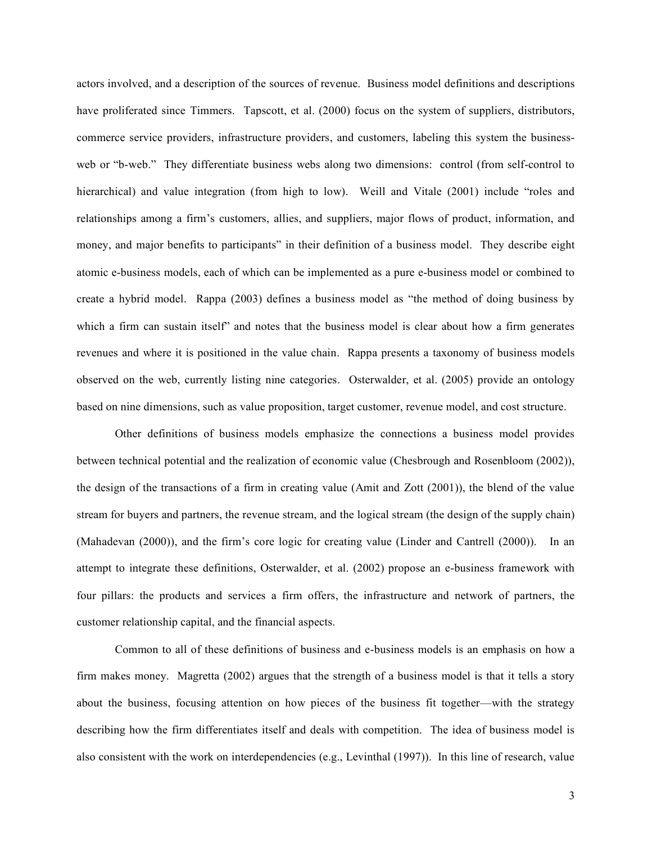actors involved, and a description of the sources of revenue. Business model definitions and descriptions have proliferated since Timmers. Tapscott, et al. (2000) focus on the system of suppliers, distributors, commerce service providers, infrastructure providers, and customers, labeling this system the businessweb or "b-web." They differentiate business webs along two dimensions: control (from self-control to hierarchical) and value integration (from high to low). Weill and Vitale (2001) include "roles and relationships among a firm's customers, allies, and suppliers, major flows of product, information, and money, and major benefits to participants" in their definition of a business model. They describe eight atomic e-business models, each of which can be implemented as a pure e-business model or combined to create a hybrid model. Rappa (2003) defines a business model as "the method of doing business by which a firm can sustain itself" and notes that the business model is clear about how a firm generates revenues and where it is positioned in the value chain. Rappa presents a taxonomy of business models observed on the web, currently listing nine categories. Osterwalder, et al. (2005) provide an ontology based on nine dimensions, such as value proposition, target customer, revenue model, and cost structure.

Other definitions of business models emphasize the connections a business model provides between technical potential and the realization of economic value (Chesbrough and Rosenbloom (2002)), the design of the transactions of a firm in creating value (Amit and Zott (2001)), the blend of the value stream for buyers and partners, the revenue stream, and the logical stream (the design of the supply chain) (Mahadevan (2000)), and the firm's core logic for creating value (Linder and Cantrell (2000)). In an attempt to integrate these definitions, Osterwalder, et al. (2002) propose an e-business framework with four pillars: the products and services a firm offers, the infrastructure and network of partners, the customer relationship capital, and the financial aspects.

Common to all of these definitions of business and e-business models is an emphasis on how a firm makes money. Magretta (2002) argues that the strength of a business model is that it tells a story about the business, focusing attention on how pieces of the business fit together—with the strategy describing how the firm differentiates itself and deals with competition. The idea of business model is also consistent with the work on interdependencies (e.g., Levinthal (1997)). In this line of research, value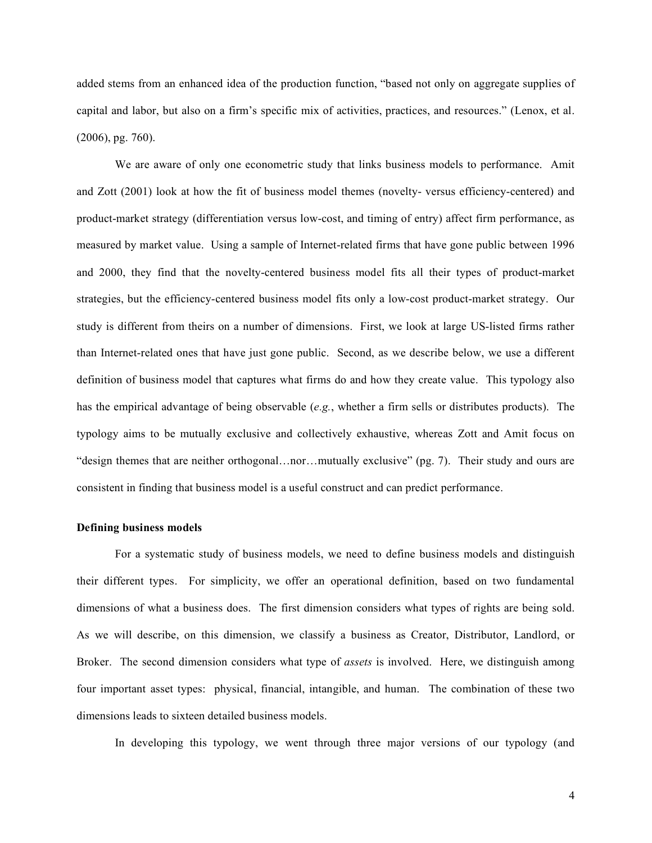added stems from an enhanced idea of the production function, "based not only on aggregate supplies of capital and labor, but also on a firm's specific mix of activities, practices, and resources." (Lenox, et al. (2006), pg. 760).

We are aware of only one econometric study that links business models to performance. Amit and Zott (2001) look at how the fit of business model themes (novelty- versus efficiency-centered) and product-market strategy (differentiation versus low-cost, and timing of entry) affect firm performance, as measured by market value. Using a sample of Internet-related firms that have gone public between 1996 and 2000, they find that the novelty-centered business model fits all their types of product-market strategies, but the efficiency-centered business model fits only a low-cost product-market strategy. Our study is different from theirs on a number of dimensions. First, we look at large US-listed firms rather than Internet-related ones that have just gone public. Second, as we describe below, we use a different definition of business model that captures what firms do and how they create value. This typology also has the empirical advantage of being observable (*e.g.*, whether a firm sells or distributes products). The typology aims to be mutually exclusive and collectively exhaustive, whereas Zott and Amit focus on "design themes that are neither orthogonal…nor…mutually exclusive" (pg. 7). Their study and ours are consistent in finding that business model is a useful construct and can predict performance.

## **Defining business models**

For a systematic study of business models, we need to define business models and distinguish their different types. For simplicity, we offer an operational definition, based on two fundamental dimensions of what a business does. The first dimension considers what types of rights are being sold. As we will describe, on this dimension, we classify a business as Creator, Distributor, Landlord, or Broker. The second dimension considers what type of *assets* is involved. Here, we distinguish among four important asset types: physical, financial, intangible, and human. The combination of these two dimensions leads to sixteen detailed business models.

In developing this typology, we went through three major versions of our typology (and

4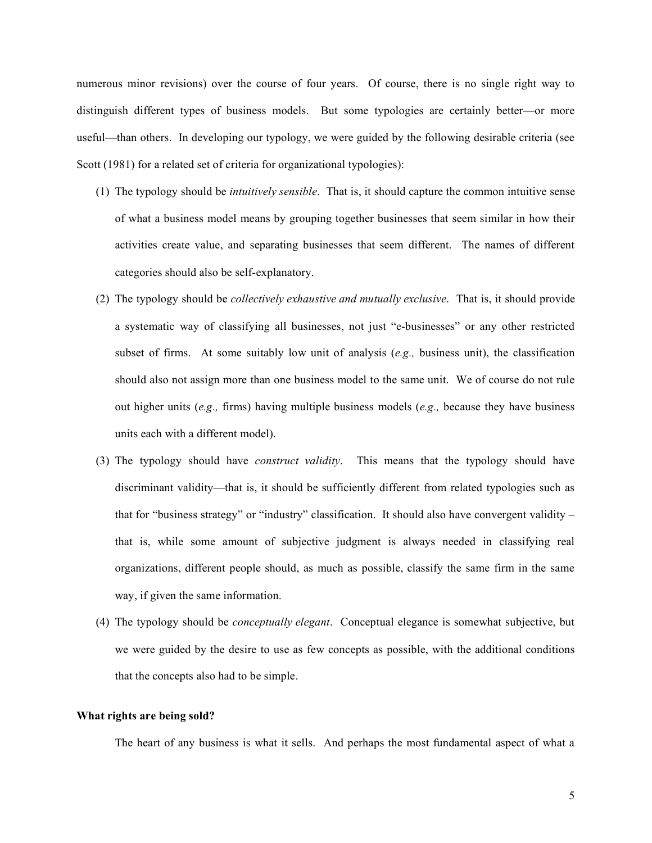numerous minor revisions) over the course of four years. Of course, there is no single right way to distinguish different types of business models. But some typologies are certainly better—or more useful—than others. In developing our typology, we were guided by the following desirable criteria (see Scott (1981) for a related set of criteria for organizational typologies):

- (1) The typology should be *intuitively sensible*. That is, it should capture the common intuitive sense of what a business model means by grouping together businesses that seem similar in how their activities create value, and separating businesses that seem different. The names of different categories should also be self-explanatory.
- (2) The typology should be *collectively exhaustive and mutually exclusive*. That is, it should provide a systematic way of classifying all businesses, not just "e-businesses" or any other restricted subset of firms. At some suitably low unit of analysis (*e.g.,* business unit), the classification should also not assign more than one business model to the same unit. We of course do not rule out higher units (*e.g.,* firms) having multiple business models (*e.g.,* because they have business units each with a different model).
- (3) The typology should have *construct validity*. This means that the typology should have discriminant validity—that is, it should be sufficiently different from related typologies such as that for "business strategy" or "industry" classification. It should also have convergent validity – that is, while some amount of subjective judgment is always needed in classifying real organizations, different people should, as much as possible, classify the same firm in the same way, if given the same information.
- (4) The typology should be *conceptually elegant*. Conceptual elegance is somewhat subjective, but we were guided by the desire to use as few concepts as possible, with the additional conditions that the concepts also had to be simple.

#### **What rights are being sold?**

The heart of any business is what it sells. And perhaps the most fundamental aspect of what a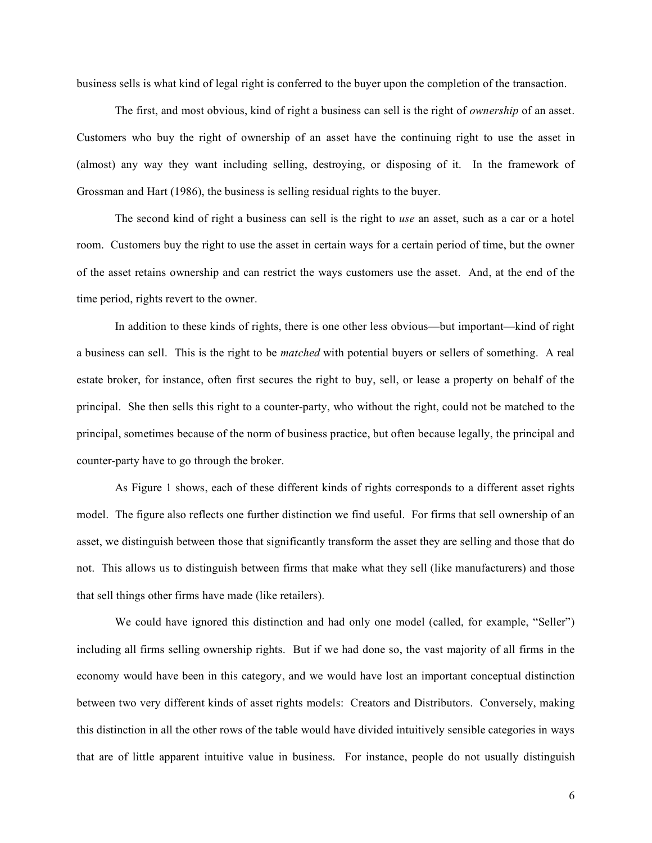business sells is what kind of legal right is conferred to the buyer upon the completion of the transaction.

The first, and most obvious, kind of right a business can sell is the right of *ownership* of an asset. Customers who buy the right of ownership of an asset have the continuing right to use the asset in (almost) any way they want including selling, destroying, or disposing of it. In the framework of Grossman and Hart (1986), the business is selling residual rights to the buyer.

The second kind of right a business can sell is the right to *use* an asset, such as a car or a hotel room. Customers buy the right to use the asset in certain ways for a certain period of time, but the owner of the asset retains ownership and can restrict the ways customers use the asset. And, at the end of the time period, rights revert to the owner.

In addition to these kinds of rights, there is one other less obvious—but important—kind of right a business can sell. This is the right to be *matched* with potential buyers or sellers of something. A real estate broker, for instance, often first secures the right to buy, sell, or lease a property on behalf of the principal. She then sells this right to a counter-party, who without the right, could not be matched to the principal, sometimes because of the norm of business practice, but often because legally, the principal and counter-party have to go through the broker.

As Figure 1 shows, each of these different kinds of rights corresponds to a different asset rights model. The figure also reflects one further distinction we find useful. For firms that sell ownership of an asset, we distinguish between those that significantly transform the asset they are selling and those that do not. This allows us to distinguish between firms that make what they sell (like manufacturers) and those that sell things other firms have made (like retailers).

We could have ignored this distinction and had only one model (called, for example, "Seller") including all firms selling ownership rights. But if we had done so, the vast majority of all firms in the economy would have been in this category, and we would have lost an important conceptual distinction between two very different kinds of asset rights models: Creators and Distributors. Conversely, making this distinction in all the other rows of the table would have divided intuitively sensible categories in ways that are of little apparent intuitive value in business. For instance, people do not usually distinguish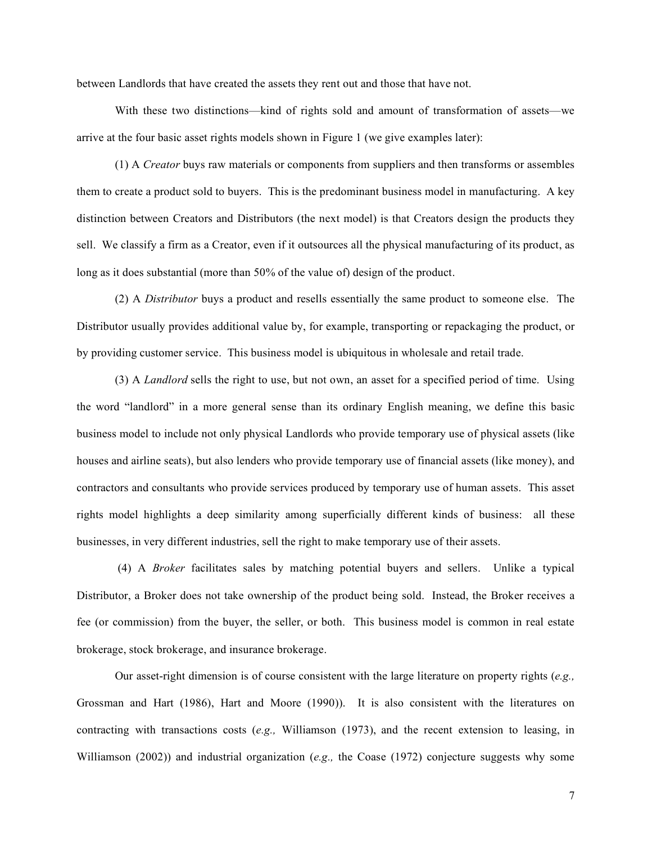between Landlords that have created the assets they rent out and those that have not.

With these two distinctions—kind of rights sold and amount of transformation of assets—we arrive at the four basic asset rights models shown in Figure 1 (we give examples later):

(1) A *Creator* buys raw materials or components from suppliers and then transforms or assembles them to create a product sold to buyers. This is the predominant business model in manufacturing. A key distinction between Creators and Distributors (the next model) is that Creators design the products they sell. We classify a firm as a Creator, even if it outsources all the physical manufacturing of its product, as long as it does substantial (more than 50% of the value of) design of the product.

(2) A *Distributor* buys a product and resells essentially the same product to someone else. The Distributor usually provides additional value by, for example, transporting or repackaging the product, or by providing customer service. This business model is ubiquitous in wholesale and retail trade.

(3) A *Landlord* sells the right to use, but not own, an asset for a specified period of time. Using the word "landlord" in a more general sense than its ordinary English meaning, we define this basic business model to include not only physical Landlords who provide temporary use of physical assets (like houses and airline seats), but also lenders who provide temporary use of financial assets (like money), and contractors and consultants who provide services produced by temporary use of human assets. This asset rights model highlights a deep similarity among superficially different kinds of business: all these businesses, in very different industries, sell the right to make temporary use of their assets.

(4) A *Broker* facilitates sales by matching potential buyers and sellers. Unlike a typical Distributor, a Broker does not take ownership of the product being sold. Instead, the Broker receives a fee (or commission) from the buyer, the seller, or both. This business model is common in real estate brokerage, stock brokerage, and insurance brokerage.

Our asset-right dimension is of course consistent with the large literature on property rights (*e.g.,* Grossman and Hart (1986), Hart and Moore (1990)). It is also consistent with the literatures on contracting with transactions costs (*e.g.,* Williamson (1973), and the recent extension to leasing, in Williamson (2002)) and industrial organization (*e.g.,* the Coase (1972) conjecture suggests why some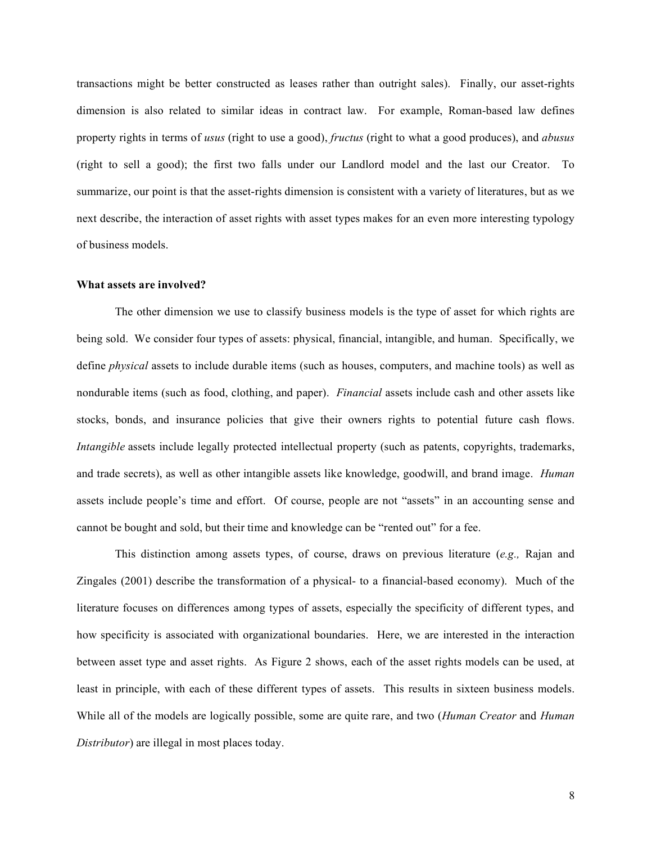transactions might be better constructed as leases rather than outright sales). Finally, our asset-rights dimension is also related to similar ideas in contract law. For example, Roman-based law defines property rights in terms of *usus* (right to use a good), *fructus* (right to what a good produces), and *abusus* (right to sell a good); the first two falls under our Landlord model and the last our Creator. To summarize, our point is that the asset-rights dimension is consistent with a variety of literatures, but as we next describe, the interaction of asset rights with asset types makes for an even more interesting typology of business models.

#### **What assets are involved?**

The other dimension we use to classify business models is the type of asset for which rights are being sold. We consider four types of assets: physical, financial, intangible, and human. Specifically, we define *physical* assets to include durable items (such as houses, computers, and machine tools) as well as nondurable items (such as food, clothing, and paper). *Financial* assets include cash and other assets like stocks, bonds, and insurance policies that give their owners rights to potential future cash flows. *Intangible* assets include legally protected intellectual property (such as patents, copyrights, trademarks, and trade secrets), as well as other intangible assets like knowledge, goodwill, and brand image. *Human* assets include people's time and effort. Of course, people are not "assets" in an accounting sense and cannot be bought and sold, but their time and knowledge can be "rented out" for a fee.

This distinction among assets types, of course, draws on previous literature (*e.g.,* Rajan and Zingales (2001) describe the transformation of a physical- to a financial-based economy). Much of the literature focuses on differences among types of assets, especially the specificity of different types, and how specificity is associated with organizational boundaries. Here, we are interested in the interaction between asset type and asset rights. As Figure 2 shows, each of the asset rights models can be used, at least in principle, with each of these different types of assets. This results in sixteen business models. While all of the models are logically possible, some are quite rare, and two (*Human Creator* and *Human Distributor*) are illegal in most places today.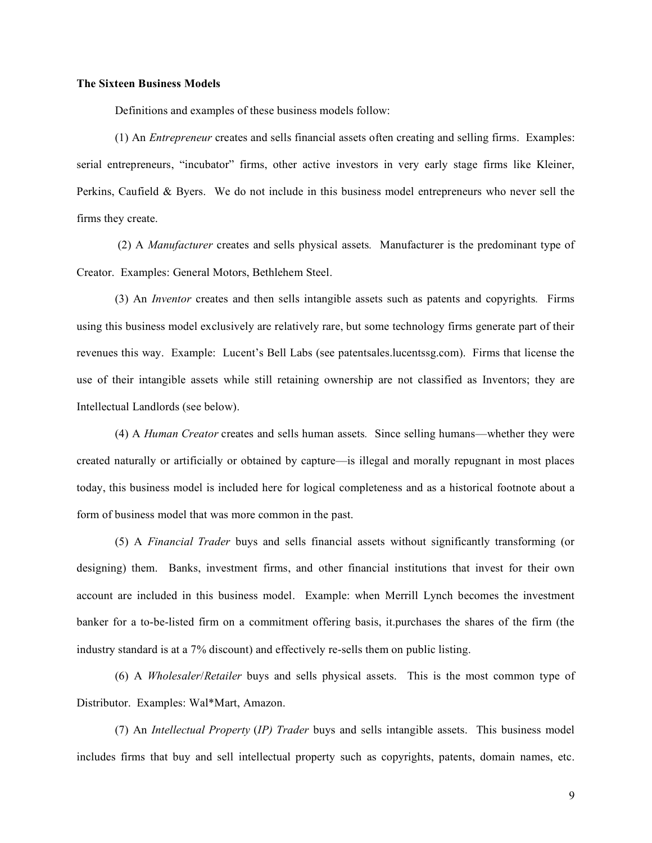#### **The Sixteen Business Models**

Definitions and examples of these business models follow:

(1) An *Entrepreneur* creates and sells financial assets often creating and selling firms. Examples: serial entrepreneurs, "incubator" firms, other active investors in very early stage firms like Kleiner, Perkins, Caufield & Byers. We do not include in this business model entrepreneurs who never sell the firms they create.

(2) A *Manufacturer* creates and sells physical assets*.* Manufacturer is the predominant type of Creator. Examples: General Motors, Bethlehem Steel.

(3) An *Inventor* creates and then sells intangible assets such as patents and copyrights*.* Firms using this business model exclusively are relatively rare, but some technology firms generate part of their revenues this way. Example: Lucent's Bell Labs (see patentsales.lucentssg.com). Firms that license the use of their intangible assets while still retaining ownership are not classified as Inventors; they are Intellectual Landlords (see below).

(4) A *Human Creator* creates and sells human assets*.* Since selling humans—whether they were created naturally or artificially or obtained by capture—is illegal and morally repugnant in most places today, this business model is included here for logical completeness and as a historical footnote about a form of business model that was more common in the past.

(5) A *Financial Trader* buys and sells financial assets without significantly transforming (or designing) them. Banks, investment firms, and other financial institutions that invest for their own account are included in this business model. Example: when Merrill Lynch becomes the investment banker for a to-be-listed firm on a commitment offering basis, it.purchases the shares of the firm (the industry standard is at a 7% discount) and effectively re-sells them on public listing.

(6) A *Wholesaler*/*Retailer* buys and sells physical assets. This is the most common type of Distributor. Examples: Wal\*Mart, Amazon.

(7) An *Intellectual Property* (*IP) Trader* buys and sells intangible assets. This business model includes firms that buy and sell intellectual property such as copyrights, patents, domain names, etc.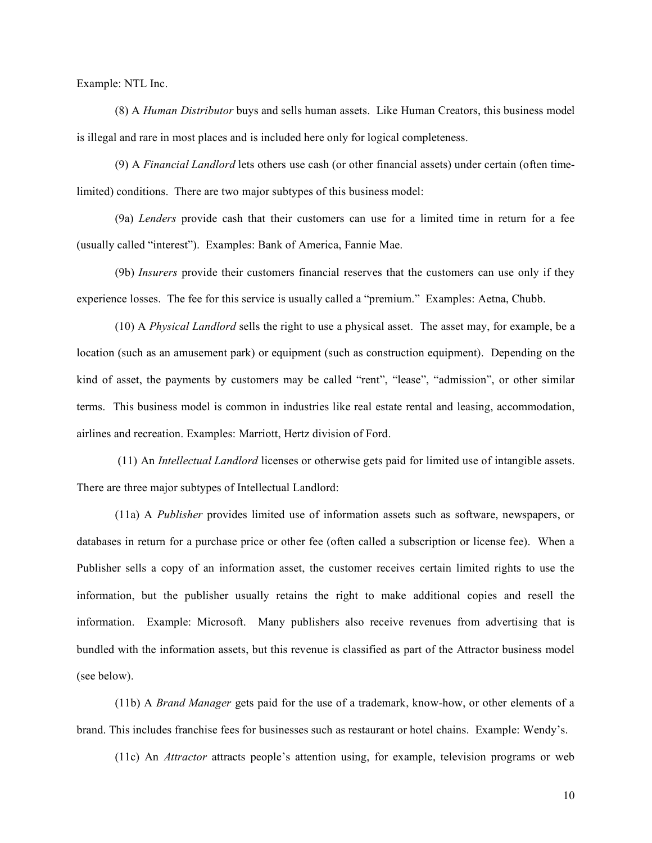Example: NTL Inc.

(8) A *Human Distributor* buys and sells human assets. Like Human Creators, this business model is illegal and rare in most places and is included here only for logical completeness.

(9) A *Financial Landlord* lets others use cash (or other financial assets) under certain (often timelimited) conditions. There are two major subtypes of this business model:

(9a) *Lenders* provide cash that their customers can use for a limited time in return for a fee (usually called "interest"). Examples: Bank of America, Fannie Mae.

(9b) *Insurers* provide their customers financial reserves that the customers can use only if they experience losses. The fee for this service is usually called a "premium." Examples: Aetna, Chubb.

(10) A *Physical Landlord* sells the right to use a physical asset. The asset may, for example, be a location (such as an amusement park) or equipment (such as construction equipment). Depending on the kind of asset, the payments by customers may be called "rent", "lease", "admission", or other similar terms. This business model is common in industries like real estate rental and leasing, accommodation, airlines and recreation. Examples: Marriott, Hertz division of Ford.

(11) An *Intellectual Landlord* licenses or otherwise gets paid for limited use of intangible assets. There are three major subtypes of Intellectual Landlord:

(11a) A *Publisher* provides limited use of information assets such as software, newspapers, or databases in return for a purchase price or other fee (often called a subscription or license fee). When a Publisher sells a copy of an information asset, the customer receives certain limited rights to use the information, but the publisher usually retains the right to make additional copies and resell the information. Example: Microsoft. Many publishers also receive revenues from advertising that is bundled with the information assets, but this revenue is classified as part of the Attractor business model (see below).

(11b) A *Brand Manager* gets paid for the use of a trademark, know-how, or other elements of a brand. This includes franchise fees for businesses such as restaurant or hotel chains. Example: Wendy's.

(11c) An *Attractor* attracts people's attention using, for example, television programs or web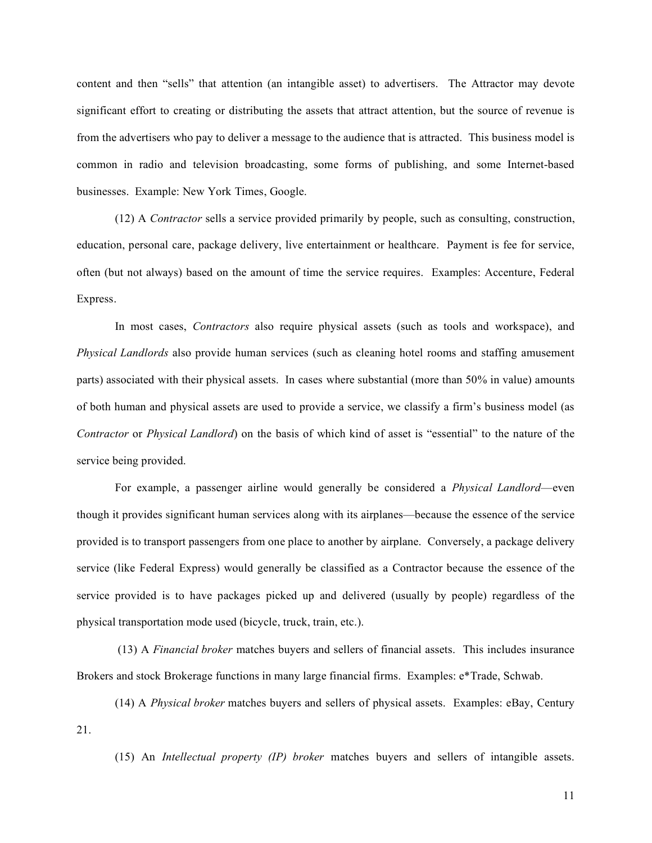content and then "sells" that attention (an intangible asset) to advertisers. The Attractor may devote significant effort to creating or distributing the assets that attract attention, but the source of revenue is from the advertisers who pay to deliver a message to the audience that is attracted. This business model is common in radio and television broadcasting, some forms of publishing, and some Internet-based businesses. Example: New York Times, Google.

(12) A *Contractor* sells a service provided primarily by people, such as consulting, construction, education, personal care, package delivery, live entertainment or healthcare. Payment is fee for service, often (but not always) based on the amount of time the service requires. Examples: Accenture, Federal Express.

In most cases, *Contractors* also require physical assets (such as tools and workspace), and *Physical Landlords* also provide human services (such as cleaning hotel rooms and staffing amusement parts) associated with their physical assets. In cases where substantial (more than 50% in value) amounts of both human and physical assets are used to provide a service, we classify a firm's business model (as *Contractor* or *Physical Landlord*) on the basis of which kind of asset is "essential" to the nature of the service being provided.

For example, a passenger airline would generally be considered a *Physical Landlord*—even though it provides significant human services along with its airplanes—because the essence of the service provided is to transport passengers from one place to another by airplane. Conversely, a package delivery service (like Federal Express) would generally be classified as a Contractor because the essence of the service provided is to have packages picked up and delivered (usually by people) regardless of the physical transportation mode used (bicycle, truck, train, etc.).

(13) A *Financial broker* matches buyers and sellers of financial assets. This includes insurance Brokers and stock Brokerage functions in many large financial firms. Examples: e\*Trade, Schwab.

(14) A *Physical broker* matches buyers and sellers of physical assets. Examples: eBay, Century 21.

(15) An *Intellectual property (IP) broker* matches buyers and sellers of intangible assets.

11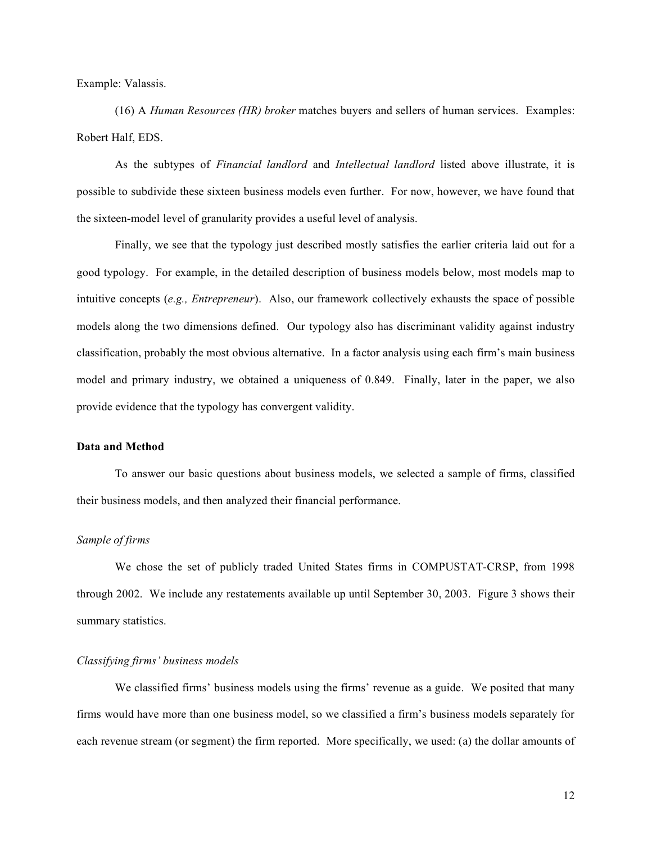Example: Valassis.

(16) A *Human Resources (HR) broker* matches buyers and sellers of human services. Examples: Robert Half, EDS.

As the subtypes of *Financial landlord* and *Intellectual landlord* listed above illustrate, it is possible to subdivide these sixteen business models even further. For now, however, we have found that the sixteen-model level of granularity provides a useful level of analysis.

Finally, we see that the typology just described mostly satisfies the earlier criteria laid out for a good typology. For example, in the detailed description of business models below, most models map to intuitive concepts (*e.g., Entrepreneur*). Also, our framework collectively exhausts the space of possible models along the two dimensions defined. Our typology also has discriminant validity against industry classification, probably the most obvious alternative. In a factor analysis using each firm's main business model and primary industry, we obtained a uniqueness of 0.849. Finally, later in the paper, we also provide evidence that the typology has convergent validity.

#### **Data and Method**

To answer our basic questions about business models, we selected a sample of firms, classified their business models, and then analyzed their financial performance.

## *Sample of firms*

We chose the set of publicly traded United States firms in COMPUSTAT-CRSP, from 1998 through 2002. We include any restatements available up until September 30, 2003. Figure 3 shows their summary statistics.

#### *Classifying firms' business models*

We classified firms' business models using the firms' revenue as a guide. We posited that many firms would have more than one business model, so we classified a firm's business models separately for each revenue stream (or segment) the firm reported. More specifically, we used: (a) the dollar amounts of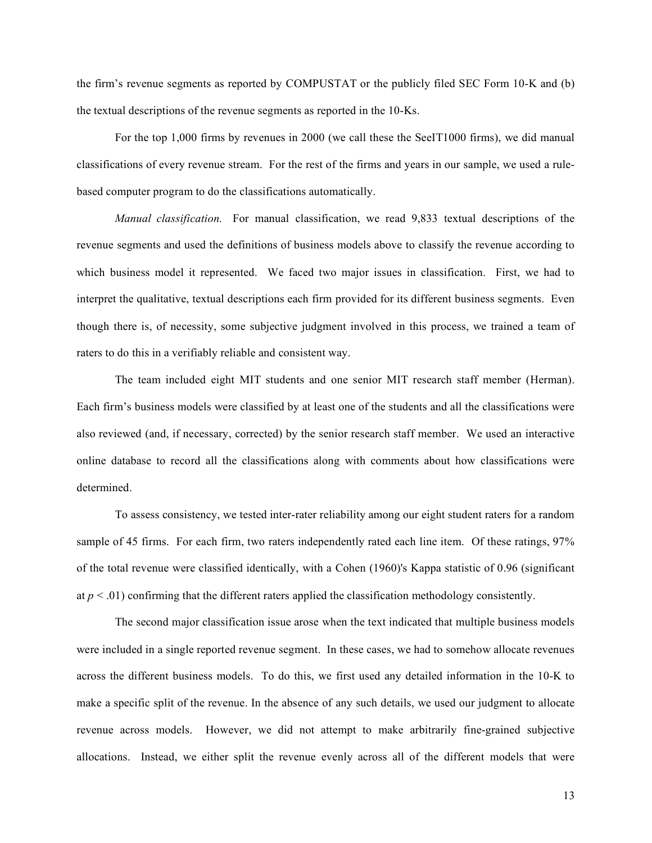the firm's revenue segments as reported by COMPUSTAT or the publicly filed SEC Form 10-K and (b) the textual descriptions of the revenue segments as reported in the 10-Ks.

For the top 1,000 firms by revenues in 2000 (we call these the SeeIT1000 firms), we did manual classifications of every revenue stream. For the rest of the firms and years in our sample, we used a rulebased computer program to do the classifications automatically.

*Manual classification.* For manual classification, we read 9,833 textual descriptions of the revenue segments and used the definitions of business models above to classify the revenue according to which business model it represented. We faced two major issues in classification. First, we had to interpret the qualitative, textual descriptions each firm provided for its different business segments. Even though there is, of necessity, some subjective judgment involved in this process, we trained a team of raters to do this in a verifiably reliable and consistent way.

The team included eight MIT students and one senior MIT research staff member (Herman). Each firm's business models were classified by at least one of the students and all the classifications were also reviewed (and, if necessary, corrected) by the senior research staff member. We used an interactive online database to record all the classifications along with comments about how classifications were determined.

To assess consistency, we tested inter-rater reliability among our eight student raters for a random sample of 45 firms. For each firm, two raters independently rated each line item. Of these ratings, 97% of the total revenue were classified identically, with a Cohen (1960)'s Kappa statistic of 0.96 (significant at  $p < .01$ ) confirming that the different raters applied the classification methodology consistently.

The second major classification issue arose when the text indicated that multiple business models were included in a single reported revenue segment. In these cases, we had to somehow allocate revenues across the different business models. To do this, we first used any detailed information in the 10-K to make a specific split of the revenue. In the absence of any such details, we used our judgment to allocate revenue across models. However, we did not attempt to make arbitrarily fine-grained subjective allocations. Instead, we either split the revenue evenly across all of the different models that were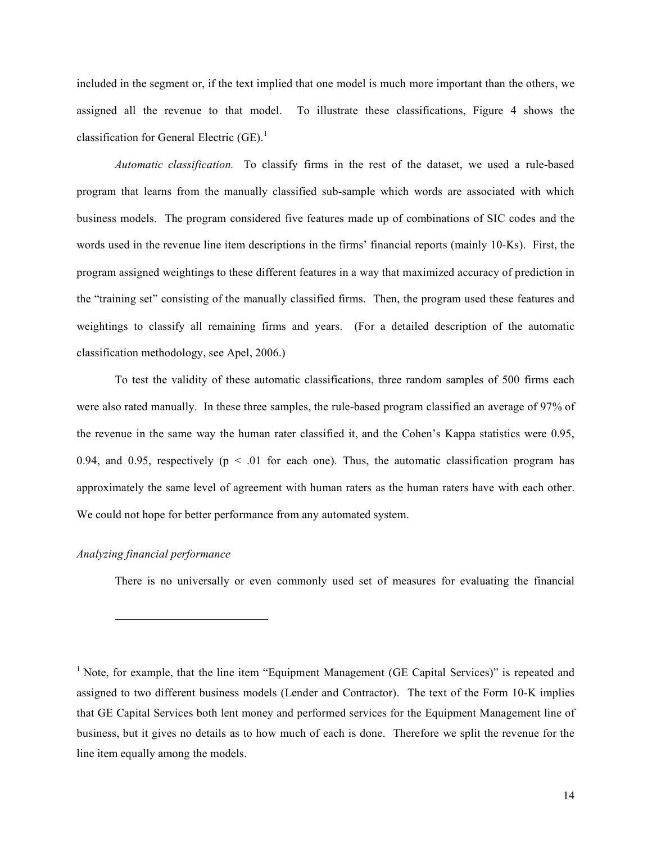included in the segment or, if the text implied that one model is much more important than the others, we assigned all the revenue to that model. To illustrate these classifications, Figure 4 shows the classification for General Electric (GE).<sup>1</sup>

*Automatic classification.* To classify firms in the rest of the dataset, we used a rule-based program that learns from the manually classified sub-sample which words are associated with which business models. The program considered five features made up of combinations of SIC codes and the words used in the revenue line item descriptions in the firms' financial reports (mainly 10-Ks). First, the program assigned weightings to these different features in a way that maximized accuracy of prediction in the "training set" consisting of the manually classified firms. Then, the program used these features and weightings to classify all remaining firms and years. (For a detailed description of the automatic classification methodology, see Apel, 2006.)

To test the validity of these automatic classifications, three random samples of 500 firms each were also rated manually. In these three samples, the rule-based program classified an average of 97% of the revenue in the same way the human rater classified it, and the Cohen's Kappa statistics were 0.95, 0.94, and 0.95, respectively ( $p < 0.01$  for each one). Thus, the automatic classification program has approximately the same level of agreement with human raters as the human raters have with each other. We could not hope for better performance from any automated system.

#### *Analyzing financial performance*

 $\overline{a}$ 

There is no universally or even commonly used set of measures for evaluating the financial

<sup>&</sup>lt;sup>1</sup> Note, for example, that the line item "Equipment Management (GE Capital Services)" is repeated and assigned to two different business models (Lender and Contractor). The text of the Form 10-K implies that GE Capital Services both lent money and performed services for the Equipment Management line of business, but it gives no details as to how much of each is done. Therefore we split the revenue for the line item equally among the models.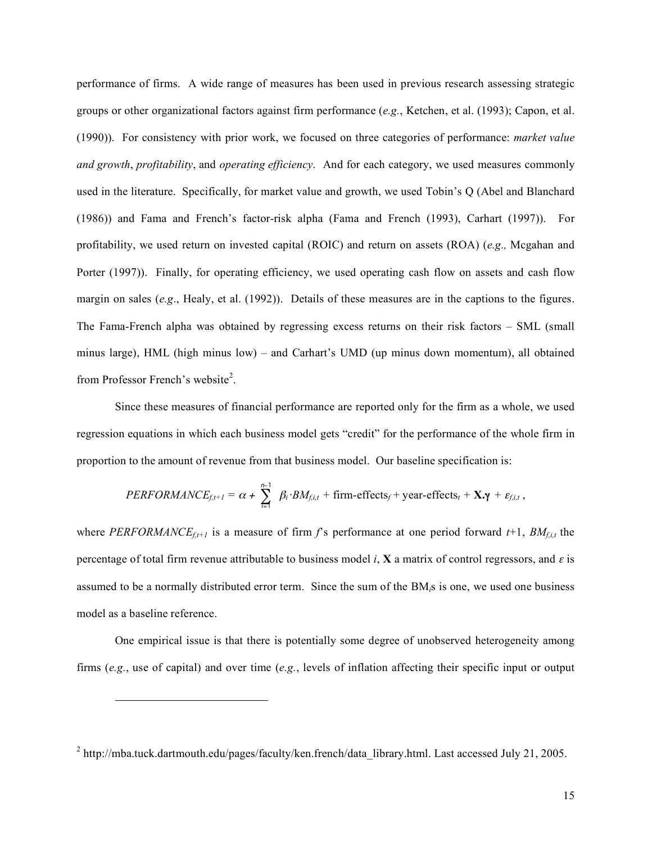performance of firms. A wide range of measures has been used in previous research assessing strategic groups or other organizational factors against firm performance (*e.g.*, Ketchen, et al. (1993); Capon, et al. (1990)). For consistency with prior work, we focused on three categories of performance: *market value and growth*, *profitability*, and *operating efficiency*. And for each category, we used measures commonly used in the literature. Specifically, for market value and growth, we used Tobin's Q (Abel and Blanchard (1986)) and Fama and French's factor-risk alpha (Fama and French (1993), Carhart (1997)). For profitability, we used return on invested capital (ROIC) and return on assets (ROA) (*e.g.,* Mcgahan and Porter (1997)). Finally, for operating efficiency, we used operating cash flow on assets and cash flow margin on sales (*e.g*., Healy, et al. (1992)). Details of these measures are in the captions to the figures. The Fama-French alpha was obtained by regressing excess returns on their risk factors – SML (small minus large), HML (high minus low) – and Carhart's UMD (up minus down momentum), all obtained from Professor French's website<sup>2</sup>.

Since these measures of financial performance are reported only for the firm as a whole, we used regression equations in which each business model gets "credit" for the performance of the whole firm in proportion to the amount of revenue from that business model. Our baseline specification is:

$$
PERFORMANCE_{f,t+1} = \alpha + \sum_{i=1}^{n-1} \beta_i \cdot BM_{f,i,t} + \text{firm-effects}_f + \text{year-effects}_t + \mathbf{X}.\mathbf{y} + \varepsilon_{f,i,t},
$$

where *PERFORMANCE<sub>f,t+1</sub>* is a measure of firm  $f$ 's performance at one period forward  $t+1$ ,  $BM_{f,i,t}$  the percentage of total firm revenue attributable to business model *i*, **X** a matrix of control regressors, and  $\varepsilon$  is assumed to be a normally distributed error term. Since the sum of the BM*i*s is one, we used one business model as a baseline reference.

One empirical issue is that there is potentially some degree of unobserved heterogeneity among firms (*e.g.*, use of capital) and over time (*e.g.*, levels of inflation affecting their specific input or output

l

 $2$  http://mba.tuck.dartmouth.edu/pages/faculty/ken.french/data\_library.html. Last accessed July 21, 2005.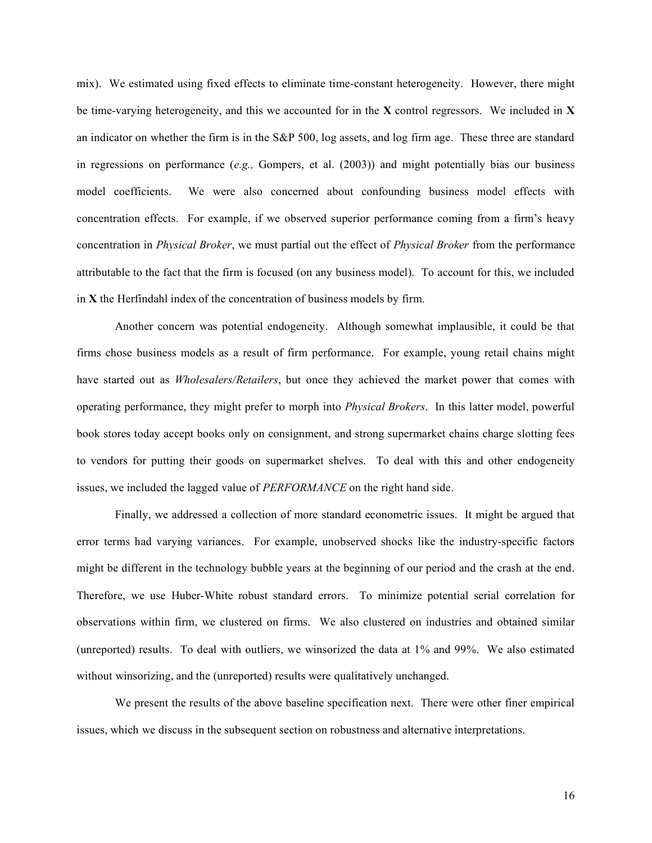mix). We estimated using fixed effects to eliminate time-constant heterogeneity. However, there might be time-varying heterogeneity, and this we accounted for in the **X** control regressors. We included in **X** an indicator on whether the firm is in the S&P 500, log assets, and log firm age. These three are standard in regressions on performance (*e.g.,* Gompers, et al. (2003)) and might potentially bias our business model coefficients. We were also concerned about confounding business model effects with concentration effects. For example, if we observed superior performance coming from a firm's heavy concentration in *Physical Broker*, we must partial out the effect of *Physical Broker* from the performance attributable to the fact that the firm is focused (on any business model). To account for this, we included in **X** the Herfindahl index of the concentration of business models by firm.

Another concern was potential endogeneity. Although somewhat implausible, it could be that firms chose business models as a result of firm performance. For example, young retail chains might have started out as *Wholesalers/Retailers*, but once they achieved the market power that comes with operating performance, they might prefer to morph into *Physical Brokers*. In this latter model, powerful book stores today accept books only on consignment, and strong supermarket chains charge slotting fees to vendors for putting their goods on supermarket shelves. To deal with this and other endogeneity issues, we included the lagged value of *PERFORMANCE* on the right hand side.

Finally, we addressed a collection of more standard econometric issues. It might be argued that error terms had varying variances. For example, unobserved shocks like the industry-specific factors might be different in the technology bubble years at the beginning of our period and the crash at the end. Therefore, we use Huber-White robust standard errors. To minimize potential serial correlation for observations within firm, we clustered on firms. We also clustered on industries and obtained similar (unreported) results. To deal with outliers, we winsorized the data at 1% and 99%. We also estimated without winsorizing, and the (unreported) results were qualitatively unchanged.

We present the results of the above baseline specification next. There were other finer empirical issues, which we discuss in the subsequent section on robustness and alternative interpretations.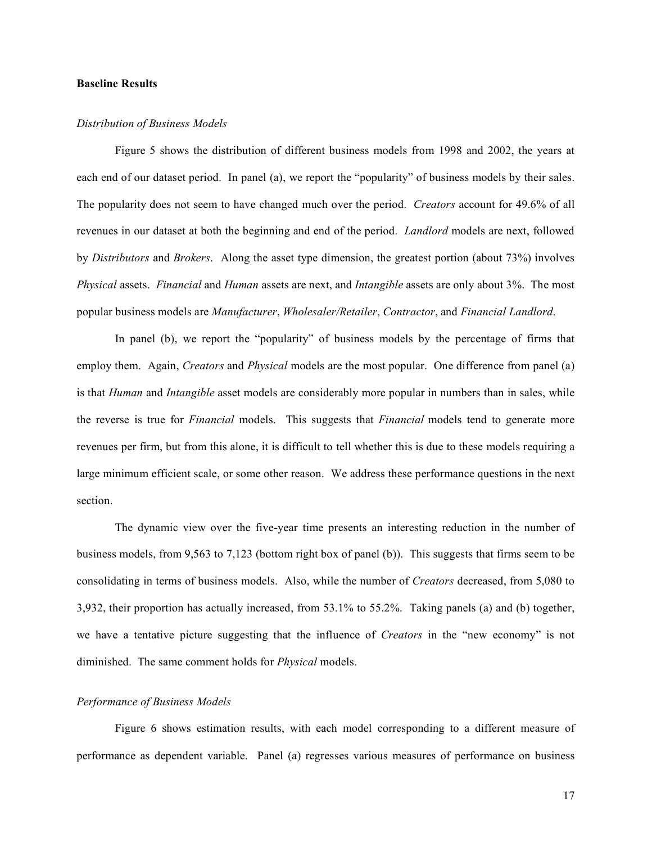#### **Baseline Results**

#### *Distribution of Business Models*

Figure 5 shows the distribution of different business models from 1998 and 2002, the years at each end of our dataset period. In panel (a), we report the "popularity" of business models by their sales. The popularity does not seem to have changed much over the period. *Creators* account for 49.6% of all revenues in our dataset at both the beginning and end of the period. *Landlord* models are next, followed by *Distributors* and *Brokers*. Along the asset type dimension, the greatest portion (about 73%) involves *Physical* assets. *Financial* and *Human* assets are next, and *Intangible* assets are only about 3%. The most popular business models are *Manufacturer*, *Wholesaler/Retailer*, *Contractor*, and *Financial Landlord*.

In panel (b), we report the "popularity" of business models by the percentage of firms that employ them. Again, *Creators* and *Physical* models are the most popular. One difference from panel (a) is that *Human* and *Intangible* asset models are considerably more popular in numbers than in sales, while the reverse is true for *Financial* models. This suggests that *Financial* models tend to generate more revenues per firm, but from this alone, it is difficult to tell whether this is due to these models requiring a large minimum efficient scale, or some other reason. We address these performance questions in the next section.

The dynamic view over the five-year time presents an interesting reduction in the number of business models, from 9,563 to 7,123 (bottom right box of panel (b)). This suggests that firms seem to be consolidating in terms of business models. Also, while the number of *Creators* decreased, from 5,080 to 3,932, their proportion has actually increased, from 53.1% to 55.2%. Taking panels (a) and (b) together, we have a tentative picture suggesting that the influence of *Creators* in the "new economy" is not diminished. The same comment holds for *Physical* models.

## *Performance of Business Models*

Figure 6 shows estimation results, with each model corresponding to a different measure of performance as dependent variable. Panel (a) regresses various measures of performance on business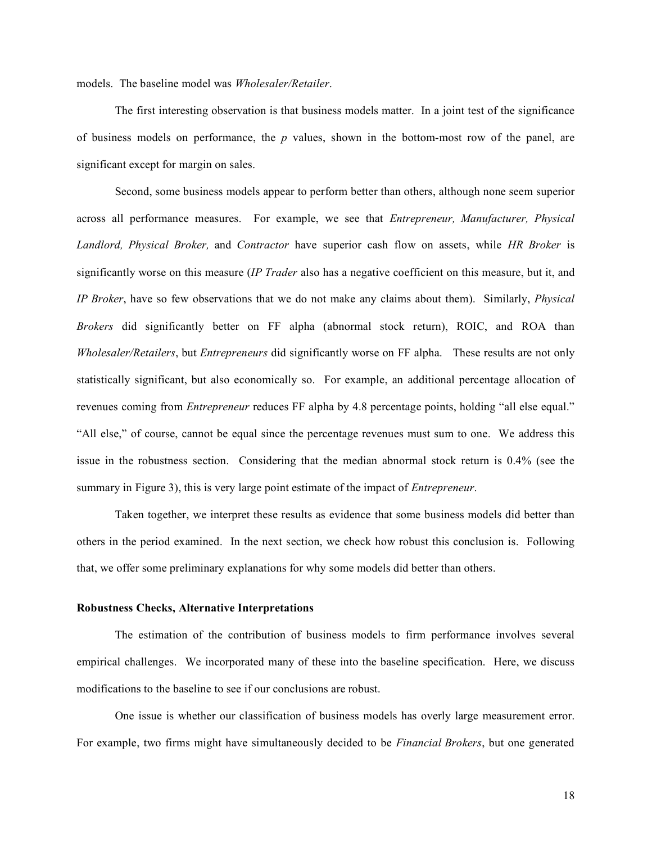models. The baseline model was *Wholesaler/Retailer*.

The first interesting observation is that business models matter. In a joint test of the significance of business models on performance, the *p* values, shown in the bottom-most row of the panel, are significant except for margin on sales.

Second, some business models appear to perform better than others, although none seem superior across all performance measures. For example, we see that *Entrepreneur, Manufacturer, Physical Landlord, Physical Broker,* and *Contractor* have superior cash flow on assets, while *HR Broker* is significantly worse on this measure (*IP Trader* also has a negative coefficient on this measure, but it, and *IP Broker*, have so few observations that we do not make any claims about them). Similarly, *Physical Brokers* did significantly better on FF alpha (abnormal stock return), ROIC, and ROA than *Wholesaler/Retailers*, but *Entrepreneurs* did significantly worse on FF alpha. These results are not only statistically significant, but also economically so. For example, an additional percentage allocation of revenues coming from *Entrepreneur* reduces FF alpha by 4.8 percentage points, holding "all else equal." "All else," of course, cannot be equal since the percentage revenues must sum to one. We address this issue in the robustness section. Considering that the median abnormal stock return is 0.4% (see the summary in Figure 3), this is very large point estimate of the impact of *Entrepreneur*.

Taken together, we interpret these results as evidence that some business models did better than others in the period examined. In the next section, we check how robust this conclusion is. Following that, we offer some preliminary explanations for why some models did better than others.

## **Robustness Checks, Alternative Interpretations**

The estimation of the contribution of business models to firm performance involves several empirical challenges. We incorporated many of these into the baseline specification. Here, we discuss modifications to the baseline to see if our conclusions are robust.

One issue is whether our classification of business models has overly large measurement error. For example, two firms might have simultaneously decided to be *Financial Brokers*, but one generated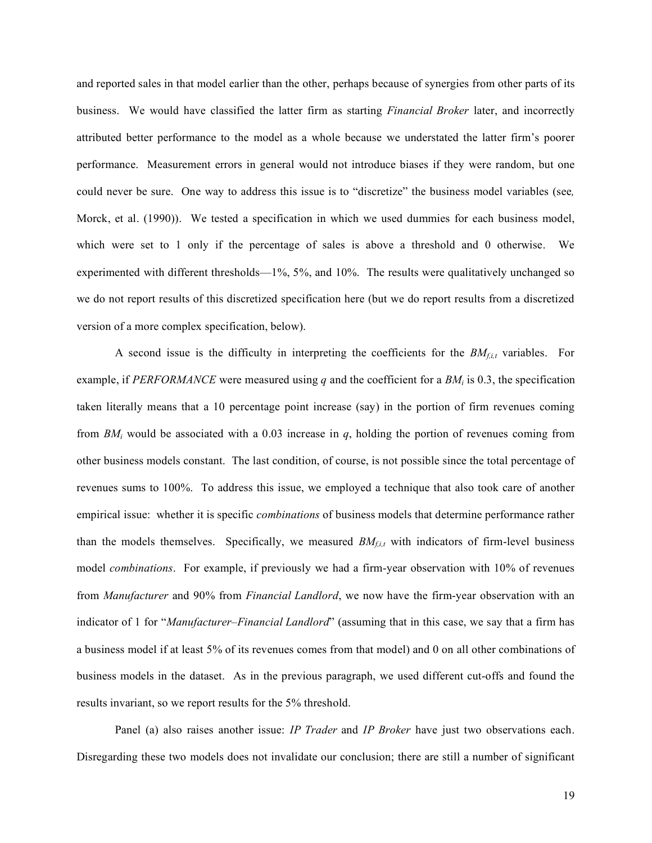and reported sales in that model earlier than the other, perhaps because of synergies from other parts of its business. We would have classified the latter firm as starting *Financial Broker* later, and incorrectly attributed better performance to the model as a whole because we understated the latter firm's poorer performance. Measurement errors in general would not introduce biases if they were random, but one could never be sure. One way to address this issue is to "discretize" the business model variables (see*,* Morck, et al. (1990)). We tested a specification in which we used dummies for each business model, which were set to 1 only if the percentage of sales is above a threshold and 0 otherwise. We experimented with different thresholds—1%, 5%, and 10%. The results were qualitatively unchanged so we do not report results of this discretized specification here (but we do report results from a discretized version of a more complex specification, below).

A second issue is the difficulty in interpreting the coefficients for the  $BM_{fit}$  variables. For example, if *PERFORMANCE* were measured using *q* and the coefficient for a *BMi* is 0.3, the specification taken literally means that a 10 percentage point increase (say) in the portion of firm revenues coming from  $BM_i$  would be associated with a 0.03 increase in  $q$ , holding the portion of revenues coming from other business models constant. The last condition, of course, is not possible since the total percentage of revenues sums to 100%. To address this issue, we employed a technique that also took care of another empirical issue: whether it is specific *combinations* of business models that determine performance rather than the models themselves. Specifically, we measured  $BM<sub>f,i,t</sub>$  with indicators of firm-level business model *combinations*. For example, if previously we had a firm-year observation with 10% of revenues from *Manufacturer* and 90% from *Financial Landlord*, we now have the firm-year observation with an indicator of 1 for "*Manufacturer–Financial Landlord*" (assuming that in this case, we say that a firm has a business model if at least 5% of its revenues comes from that model) and 0 on all other combinations of business models in the dataset. As in the previous paragraph, we used different cut-offs and found the results invariant, so we report results for the 5% threshold.

Panel (a) also raises another issue: *IP Trader* and *IP Broker* have just two observations each. Disregarding these two models does not invalidate our conclusion; there are still a number of significant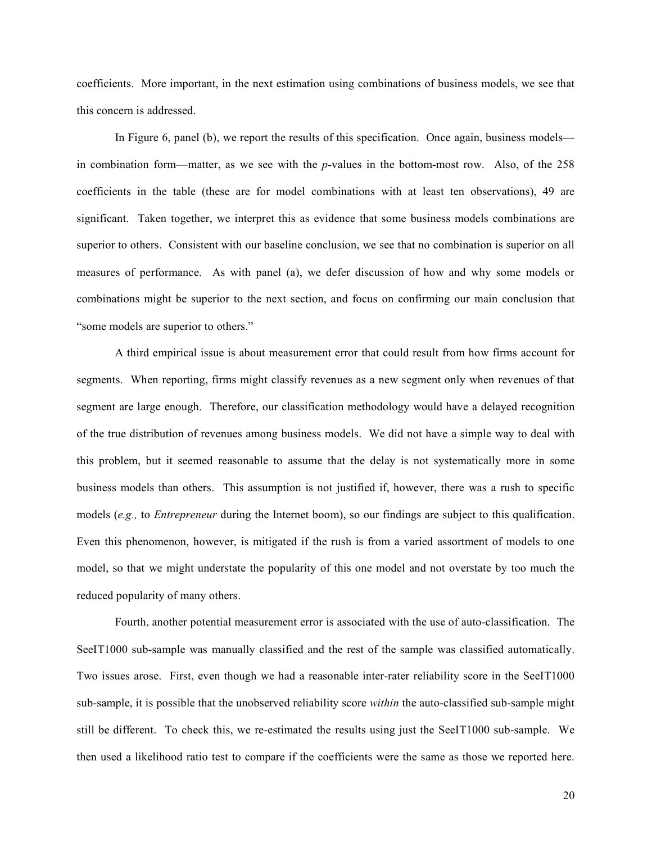coefficients. More important, in the next estimation using combinations of business models, we see that this concern is addressed.

In Figure 6, panel (b), we report the results of this specification. Once again, business models in combination form—matter, as we see with the *p-*values in the bottom-most row. Also, of the 258 coefficients in the table (these are for model combinations with at least ten observations), 49 are significant. Taken together, we interpret this as evidence that some business models combinations are superior to others. Consistent with our baseline conclusion, we see that no combination is superior on all measures of performance. As with panel (a), we defer discussion of how and why some models or combinations might be superior to the next section, and focus on confirming our main conclusion that "some models are superior to others."

A third empirical issue is about measurement error that could result from how firms account for segments. When reporting, firms might classify revenues as a new segment only when revenues of that segment are large enough. Therefore, our classification methodology would have a delayed recognition of the true distribution of revenues among business models. We did not have a simple way to deal with this problem, but it seemed reasonable to assume that the delay is not systematically more in some business models than others. This assumption is not justified if, however, there was a rush to specific models (*e.g.,* to *Entrepreneur* during the Internet boom), so our findings are subject to this qualification. Even this phenomenon, however, is mitigated if the rush is from a varied assortment of models to one model, so that we might understate the popularity of this one model and not overstate by too much the reduced popularity of many others.

Fourth, another potential measurement error is associated with the use of auto-classification. The SeeIT1000 sub-sample was manually classified and the rest of the sample was classified automatically. Two issues arose. First, even though we had a reasonable inter-rater reliability score in the SeeIT1000 sub-sample, it is possible that the unobserved reliability score *within* the auto-classified sub-sample might still be different. To check this, we re-estimated the results using just the SeeIT1000 sub-sample. We then used a likelihood ratio test to compare if the coefficients were the same as those we reported here.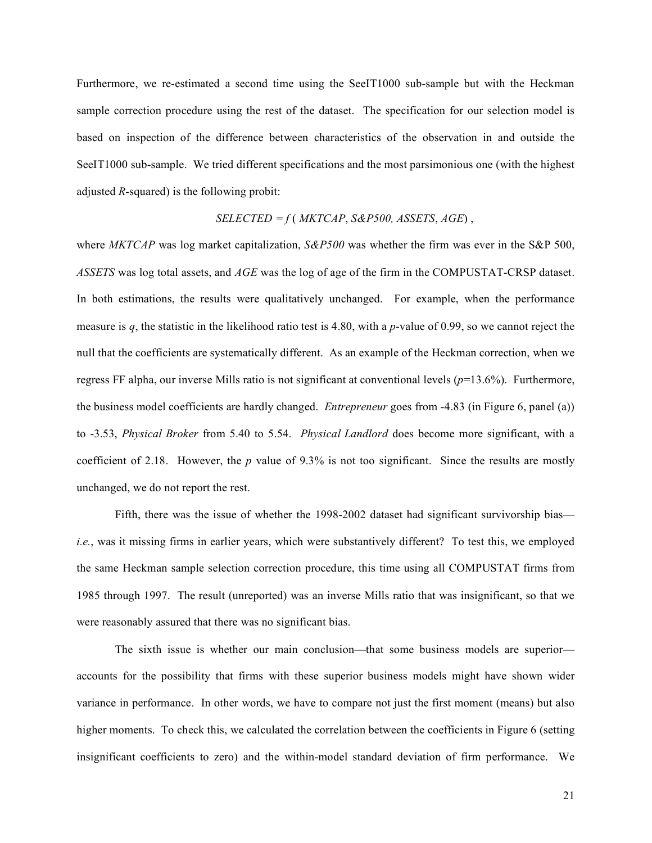Furthermore, we re-estimated a second time using the SeeIT1000 sub-sample but with the Heckman sample correction procedure using the rest of the dataset. The specification for our selection model is based on inspection of the difference between characteristics of the observation in and outside the SeeIT1000 sub-sample. We tried different specifications and the most parsimonious one (with the highest adjusted *R-*squared) is the following probit:

## *SELECTED = f* ( *MKTCAP*, *S&P500, ASSETS*, *AGE*) ,

where *MKTCAP* was log market capitalization, *S&P500* was whether the firm was ever in the S&P 500, *ASSETS* was log total assets, and *AGE* was the log of age of the firm in the COMPUSTAT-CRSP dataset. In both estimations, the results were qualitatively unchanged. For example, when the performance measure is *q*, the statistic in the likelihood ratio test is 4.80, with a *p*-value of 0.99, so we cannot reject the null that the coefficients are systematically different. As an example of the Heckman correction, when we regress FF alpha, our inverse Mills ratio is not significant at conventional levels  $(p=13.6\%)$ . Furthermore, the business model coefficients are hardly changed. *Entrepreneur* goes from -4.83 (in Figure 6, panel (a)) to -3.53, *Physical Broker* from 5.40 to 5.54. *Physical Landlord* does become more significant, with a coefficient of 2.18. However, the *p* value of 9.3% is not too significant. Since the results are mostly unchanged, we do not report the rest.

Fifth, there was the issue of whether the 1998-2002 dataset had significant survivorship bias *i.e.*, was it missing firms in earlier years, which were substantively different? To test this, we employed the same Heckman sample selection correction procedure, this time using all COMPUSTAT firms from 1985 through 1997. The result (unreported) was an inverse Mills ratio that was insignificant, so that we were reasonably assured that there was no significant bias.

The sixth issue is whether our main conclusion—that some business models are superior accounts for the possibility that firms with these superior business models might have shown wider variance in performance. In other words, we have to compare not just the first moment (means) but also higher moments. To check this, we calculated the correlation between the coefficients in Figure 6 (setting insignificant coefficients to zero) and the within-model standard deviation of firm performance. We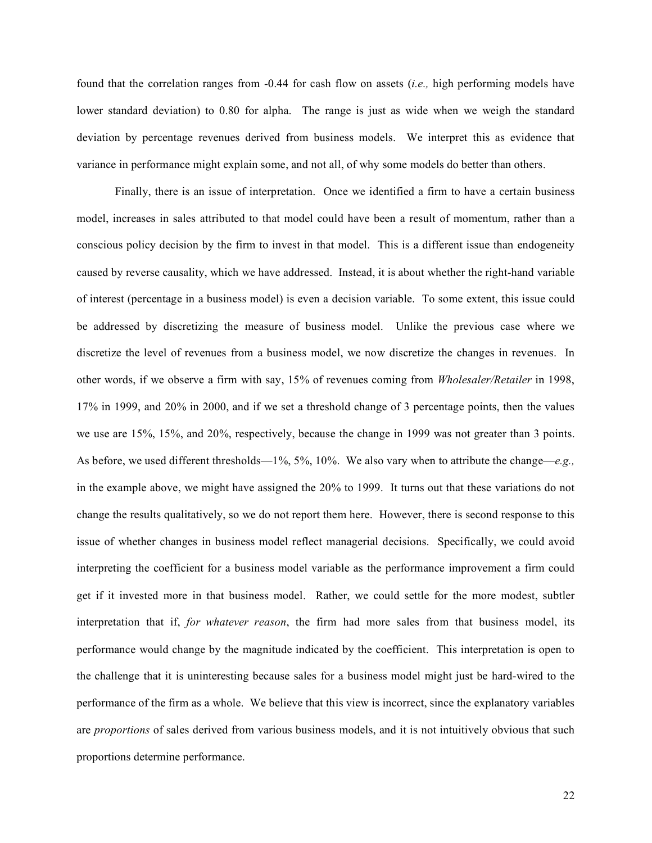found that the correlation ranges from -0.44 for cash flow on assets (*i.e.,* high performing models have lower standard deviation) to 0.80 for alpha. The range is just as wide when we weigh the standard deviation by percentage revenues derived from business models. We interpret this as evidence that variance in performance might explain some, and not all, of why some models do better than others.

Finally, there is an issue of interpretation. Once we identified a firm to have a certain business model, increases in sales attributed to that model could have been a result of momentum, rather than a conscious policy decision by the firm to invest in that model. This is a different issue than endogeneity caused by reverse causality, which we have addressed. Instead, it is about whether the right-hand variable of interest (percentage in a business model) is even a decision variable. To some extent, this issue could be addressed by discretizing the measure of business model. Unlike the previous case where we discretize the level of revenues from a business model, we now discretize the changes in revenues. In other words, if we observe a firm with say, 15% of revenues coming from *Wholesaler/Retailer* in 1998, 17% in 1999, and 20% in 2000, and if we set a threshold change of 3 percentage points, then the values we use are 15%, 15%, and 20%, respectively, because the change in 1999 was not greater than 3 points. As before, we used different thresholds—1%, 5%, 10%. We also vary when to attribute the change—*e.g.,* in the example above, we might have assigned the 20% to 1999. It turns out that these variations do not change the results qualitatively, so we do not report them here. However, there is second response to this issue of whether changes in business model reflect managerial decisions. Specifically, we could avoid interpreting the coefficient for a business model variable as the performance improvement a firm could get if it invested more in that business model. Rather, we could settle for the more modest, subtler interpretation that if, *for whatever reason*, the firm had more sales from that business model, its performance would change by the magnitude indicated by the coefficient. This interpretation is open to the challenge that it is uninteresting because sales for a business model might just be hard-wired to the performance of the firm as a whole. We believe that this view is incorrect, since the explanatory variables are *proportions* of sales derived from various business models, and it is not intuitively obvious that such proportions determine performance.

22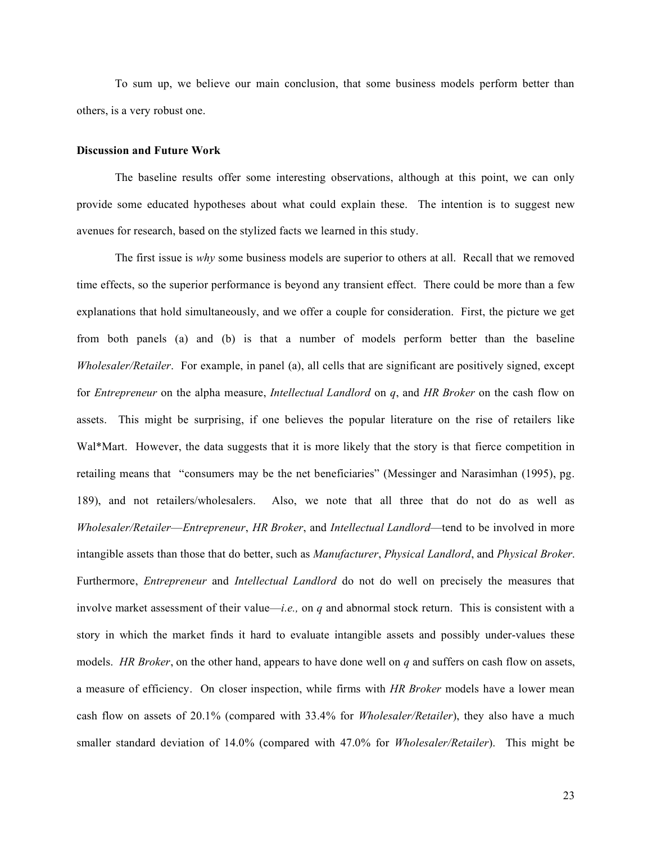To sum up, we believe our main conclusion, that some business models perform better than others, is a very robust one.

#### **Discussion and Future Work**

The baseline results offer some interesting observations, although at this point, we can only provide some educated hypotheses about what could explain these. The intention is to suggest new avenues for research, based on the stylized facts we learned in this study.

The first issue is *why* some business models are superior to others at all. Recall that we removed time effects, so the superior performance is beyond any transient effect. There could be more than a few explanations that hold simultaneously, and we offer a couple for consideration. First, the picture we get from both panels (a) and (b) is that a number of models perform better than the baseline *Wholesaler/Retailer*. For example, in panel (a), all cells that are significant are positively signed, except for *Entrepreneur* on the alpha measure, *Intellectual Landlord* on *q*, and *HR Broker* on the cash flow on assets. This might be surprising, if one believes the popular literature on the rise of retailers like Wal\*Mart. However, the data suggests that it is more likely that the story is that fierce competition in retailing means that "consumers may be the net beneficiaries" (Messinger and Narasimhan (1995), pg. 189), and not retailers/wholesalers. Also, we note that all three that do not do as well as *Wholesaler/Retailer*—*Entrepreneur*, *HR Broker*, and *Intellectual Landlord*—tend to be involved in more intangible assets than those that do better, such as *Manufacturer*, *Physical Landlord*, and *Physical Broker*. Furthermore, *Entrepreneur* and *Intellectual Landlord* do not do well on precisely the measures that involve market assessment of their value—*i.e.,* on *q* and abnormal stock return. This is consistent with a story in which the market finds it hard to evaluate intangible assets and possibly under-values these models. *HR Broker*, on the other hand, appears to have done well on *q* and suffers on cash flow on assets, a measure of efficiency. On closer inspection, while firms with *HR Broker* models have a lower mean cash flow on assets of 20.1% (compared with 33.4% for *Wholesaler/Retailer*), they also have a much smaller standard deviation of 14.0% (compared with 47.0% for *Wholesaler/Retailer*). This might be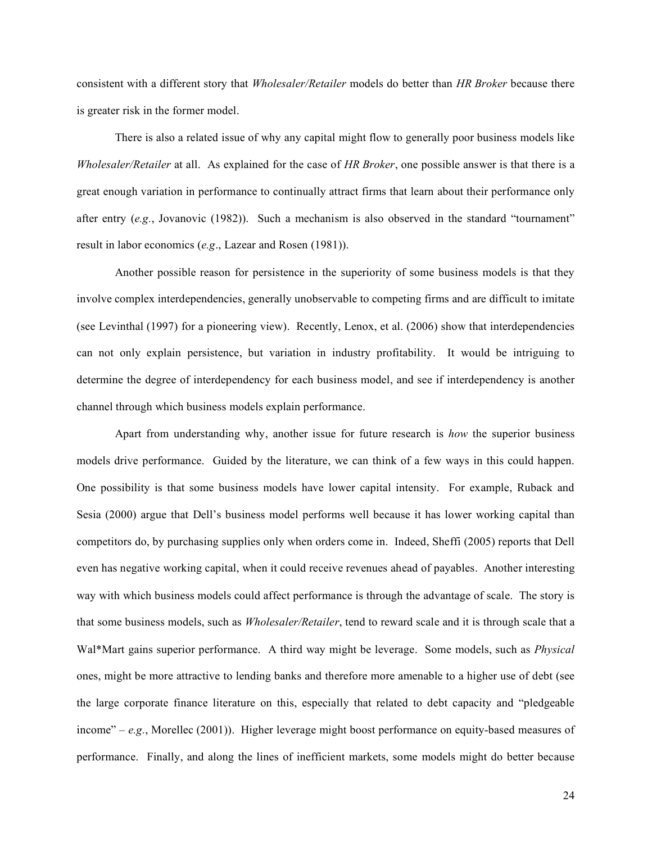consistent with a different story that *Wholesaler/Retailer* models do better than *HR Broker* because there is greater risk in the former model.

There is also a related issue of why any capital might flow to generally poor business models like *Wholesaler/Retailer* at all. As explained for the case of *HR Broker*, one possible answer is that there is a great enough variation in performance to continually attract firms that learn about their performance only after entry (e.g., Jovanovic (1982)). Such a mechanism is also observed in the standard "tournament" result in labor economics (*e.g*., Lazear and Rosen (1981)).

Another possible reason for persistence in the superiority of some business models is that they involve complex interdependencies, generally unobservable to competing firms and are difficult to imitate (see Levinthal (1997) for a pioneering view). Recently, Lenox, et al. (2006) show that interdependencies can not only explain persistence, but variation in industry profitability. It would be intriguing to determine the degree of interdependency for each business model, and see if interdependency is another channel through which business models explain performance.

Apart from understanding why, another issue for future research is *how* the superior business models drive performance. Guided by the literature, we can think of a few ways in this could happen. One possibility is that some business models have lower capital intensity. For example, Ruback and Sesia (2000) argue that Dell's business model performs well because it has lower working capital than competitors do, by purchasing supplies only when orders come in. Indeed, Sheffi (2005) reports that Dell even has negative working capital, when it could receive revenues ahead of payables. Another interesting way with which business models could affect performance is through the advantage of scale. The story is that some business models, such as *Wholesaler/Retailer*, tend to reward scale and it is through scale that a Wal\*Mart gains superior performance. A third way might be leverage. Some models, such as *Physical* ones, might be more attractive to lending banks and therefore more amenable to a higher use of debt (see the large corporate finance literature on this, especially that related to debt capacity and "pledgeable income" – *e.g.*, Morellec (2001)). Higher leverage might boost performance on equity-based measures of performance. Finally, and along the lines of inefficient markets, some models might do better because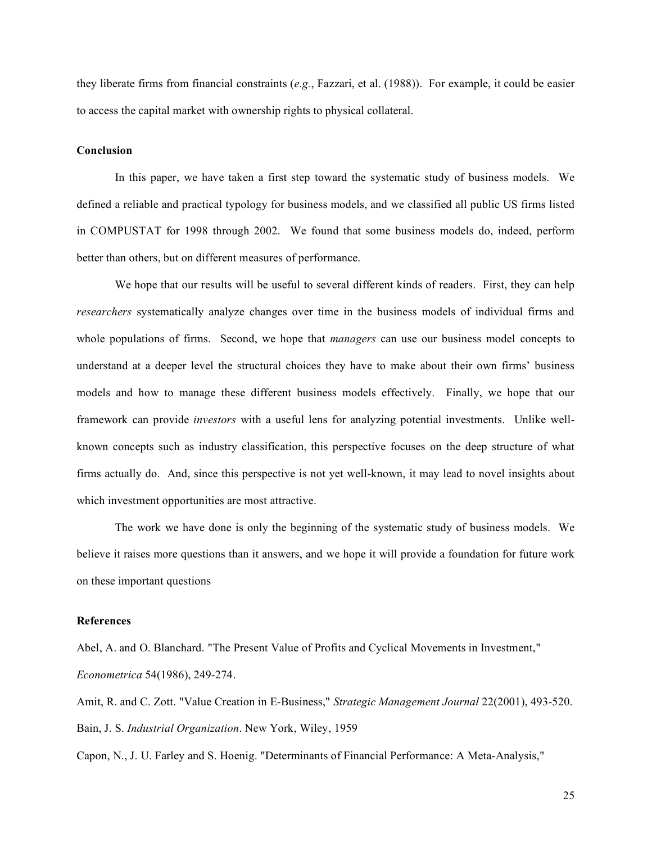they liberate firms from financial constraints (*e.g.*, Fazzari, et al. (1988)). For example, it could be easier to access the capital market with ownership rights to physical collateral.

## **Conclusion**

In this paper, we have taken a first step toward the systematic study of business models. We defined a reliable and practical typology for business models, and we classified all public US firms listed in COMPUSTAT for 1998 through 2002. We found that some business models do, indeed, perform better than others, but on different measures of performance.

We hope that our results will be useful to several different kinds of readers. First, they can help *researchers* systematically analyze changes over time in the business models of individual firms and whole populations of firms. Second, we hope that *managers* can use our business model concepts to understand at a deeper level the structural choices they have to make about their own firms' business models and how to manage these different business models effectively. Finally, we hope that our framework can provide *investors* with a useful lens for analyzing potential investments. Unlike wellknown concepts such as industry classification, this perspective focuses on the deep structure of what firms actually do. And, since this perspective is not yet well-known, it may lead to novel insights about which investment opportunities are most attractive.

The work we have done is only the beginning of the systematic study of business models. We believe it raises more questions than it answers, and we hope it will provide a foundation for future work on these important questions

#### **References**

Abel, A. and O. Blanchard. "The Present Value of Profits and Cyclical Movements in Investment," *Econometrica* 54(1986), 249-274.

Amit, R. and C. Zott. "Value Creation in E-Business," *Strategic Management Journal* 22(2001), 493-520. Bain, J. S. *Industrial Organization*. New York, Wiley, 1959

Capon, N., J. U. Farley and S. Hoenig. "Determinants of Financial Performance: A Meta-Analysis,"

25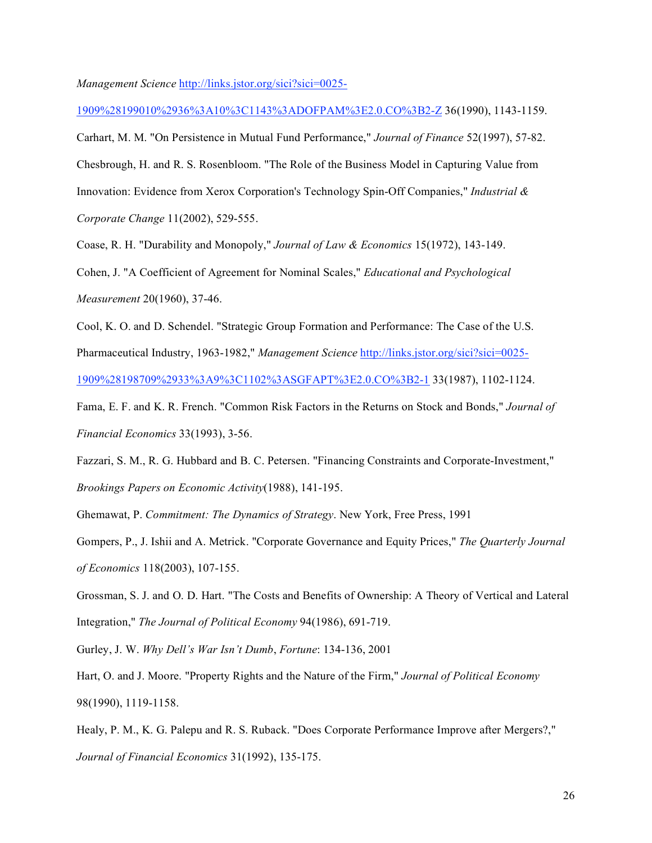*Management Science http://links.jstor.org/sici?sici=0025-*

1909%28199010%2936%3A10%3C1143%3ADOFPAM%3E2.0.CO%3B2-Z 36(1990), 1143-1159.

Carhart, M. M. "On Persistence in Mutual Fund Performance," *Journal of Finance* 52(1997), 57-82. Chesbrough, H. and R. S. Rosenbloom. "The Role of the Business Model in Capturing Value from Innovation: Evidence from Xerox Corporation's Technology Spin-Off Companies," *Industrial & Corporate Change* 11(2002), 529-555.

Coase, R. H. "Durability and Monopoly," *Journal of Law & Economics* 15(1972), 143-149.

Cohen, J. "A Coefficient of Agreement for Nominal Scales," *Educational and Psychological Measurement* 20(1960), 37-46.

Cool, K. O. and D. Schendel. "Strategic Group Formation and Performance: The Case of the U.S. Pharmaceutical Industry, 1963-1982," *Management Science* http://links.jstor.org/sici?sici=0025- 1909%28198709%2933%3A9%3C1102%3ASGFAPT%3E2.0.CO%3B2-1 33(1987), 1102-1124.

Fama, E. F. and K. R. French. "Common Risk Factors in the Returns on Stock and Bonds," *Journal of Financial Economics* 33(1993), 3-56.

Fazzari, S. M., R. G. Hubbard and B. C. Petersen. "Financing Constraints and Corporate-Investment," *Brookings Papers on Economic Activity*(1988), 141-195.

Ghemawat, P. *Commitment: The Dynamics of Strategy*. New York, Free Press, 1991

Gompers, P., J. Ishii and A. Metrick. "Corporate Governance and Equity Prices," *The Quarterly Journal of Economics* 118(2003), 107-155.

Grossman, S. J. and O. D. Hart. "The Costs and Benefits of Ownership: A Theory of Vertical and Lateral Integration," *The Journal of Political Economy* 94(1986), 691-719.

Gurley, J. W. *Why Dell's War Isn't Dumb*, *Fortune*: 134-136, 2001

Hart, O. and J. Moore. "Property Rights and the Nature of the Firm," *Journal of Political Economy* 98(1990), 1119-1158.

Healy, P. M., K. G. Palepu and R. S. Ruback. "Does Corporate Performance Improve after Mergers?," *Journal of Financial Economics* 31(1992), 135-175.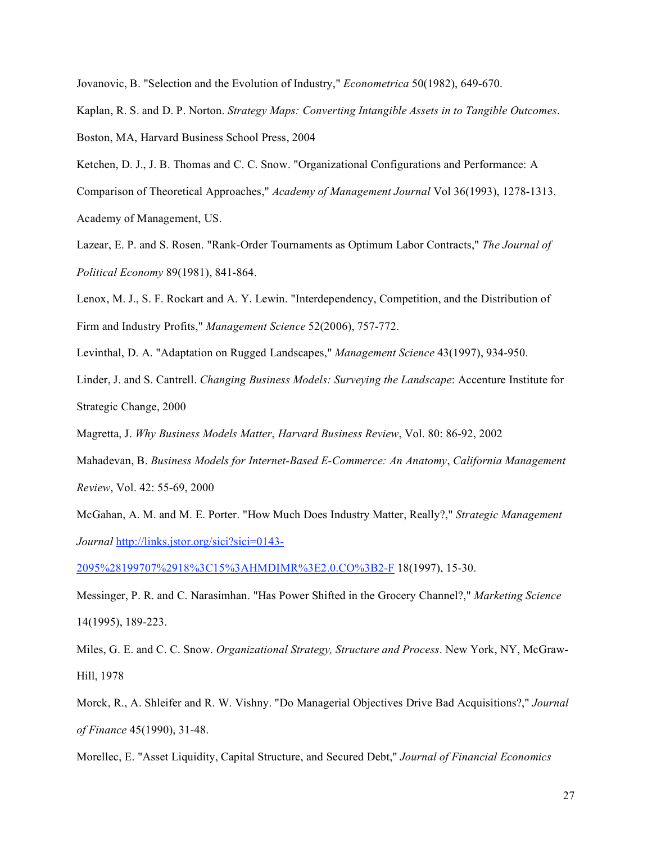Jovanovic, B. "Selection and the Evolution of Industry," *Econometrica* 50(1982), 649-670.

Kaplan, R. S. and D. P. Norton. *Strategy Maps: Converting Intangible Assets in to Tangible Outcomes*. Boston, MA, Harvard Business School Press, 2004

Ketchen, D. J., J. B. Thomas and C. C. Snow. "Organizational Configurations and Performance: A Comparison of Theoretical Approaches," *Academy of Management Journal* Vol 36(1993), 1278-1313. Academy of Management, US.

Lazear, E. P. and S. Rosen. "Rank-Order Tournaments as Optimum Labor Contracts," *The Journal of Political Economy* 89(1981), 841-864.

Lenox, M. J., S. F. Rockart and A. Y. Lewin. "Interdependency, Competition, and the Distribution of Firm and Industry Profits," *Management Science* 52(2006), 757-772.

Levinthal, D. A. "Adaptation on Rugged Landscapes," *Management Science* 43(1997), 934-950.

Linder, J. and S. Cantrell. *Changing Business Models: Surveying the Landscape*: Accenture Institute for Strategic Change, 2000

Magretta, J. *Why Business Models Matter*, *Harvard Business Review*, Vol. 80: 86-92, 2002

Mahadevan, B. *Business Models for Internet-Based E-Commerce: An Anatomy*, *California Management*

*Review*, Vol. 42: 55-69, 2000

McGahan, A. M. and M. E. Porter. "How Much Does Industry Matter, Really?," *Strategic Management Journal* http://links.jstor.org/sici?sici=0143-

2095%28199707%2918%3C15%3AHMDIMR%3E2.0.CO%3B2-F 18(1997), 15-30.

Messinger, P. R. and C. Narasimhan. "Has Power Shifted in the Grocery Channel?," *Marketing Science* 14(1995), 189-223.

Miles, G. E. and C. C. Snow. *Organizational Strategy, Structure and Process*. New York, NY, McGraw-Hill, 1978

Morck, R., A. Shleifer and R. W. Vishny. "Do Managerial Objectives Drive Bad Acquisitions?," *Journal of Finance* 45(1990), 31-48.

Morellec, E. "Asset Liquidity, Capital Structure, and Secured Debt," *Journal of Financial Economics*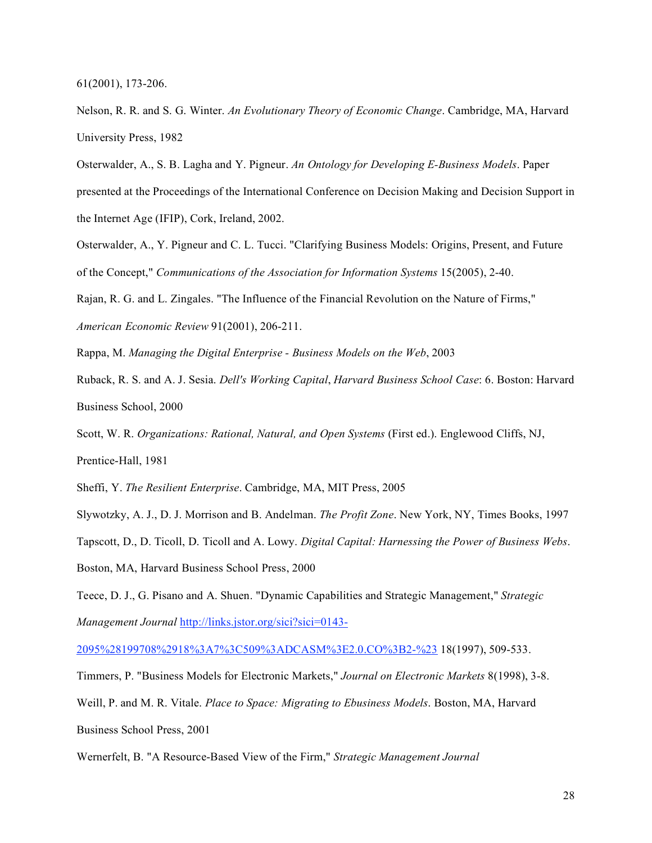61(2001), 173-206.

- Nelson, R. R. and S. G. Winter. *An Evolutionary Theory of Economic Change*. Cambridge, MA, Harvard University Press, 1982
- Osterwalder, A., S. B. Lagha and Y. Pigneur. *An Ontology for Developing E-Business Models*. Paper presented at the Proceedings of the International Conference on Decision Making and Decision Support in the Internet Age (IFIP), Cork, Ireland, 2002.
- Osterwalder, A., Y. Pigneur and C. L. Tucci. "Clarifying Business Models: Origins, Present, and Future of the Concept," *Communications of the Association for Information Systems* 15(2005), 2-40.
- Rajan, R. G. and L. Zingales. "The Influence of the Financial Revolution on the Nature of Firms,"
- *American Economic Review* 91(2001), 206-211.
- Rappa, M. *Managing the Digital Enterprise - Business Models on the Web*, 2003
- Ruback, R. S. and A. J. Sesia. *Dell's Working Capital*, *Harvard Business School Case*: 6. Boston: Harvard Business School, 2000
- Scott, W. R. *Organizations: Rational, Natural, and Open Systems* (First ed.). Englewood Cliffs, NJ, Prentice-Hall, 1981
- Sheffi, Y. *The Resilient Enterprise*. Cambridge, MA, MIT Press, 2005
- Slywotzky, A. J., D. J. Morrison and B. Andelman. *The Profit Zone*. New York, NY, Times Books, 1997
- Tapscott, D., D. Ticoll, D. Ticoll and A. Lowy. *Digital Capital: Harnessing the Power of Business Webs*. Boston, MA, Harvard Business School Press, 2000
- Teece, D. J., G. Pisano and A. Shuen. "Dynamic Capabilities and Strategic Management," *Strategic Management Journal http://links.jstor.org/sici?sici=0143-*

2095%28199708%2918%3A7%3C509%3ADCASM%3E2.0.CO%3B2-%23 18(1997), 509-533.

Timmers, P. "Business Models for Electronic Markets," *Journal on Electronic Markets* 8(1998), 3-8. Weill, P. and M. R. Vitale. *Place to Space: Migrating to Ebusiness Models*. Boston, MA, Harvard Business School Press, 2001

Wernerfelt, B. "A Resource-Based View of the Firm," *Strategic Management Journal*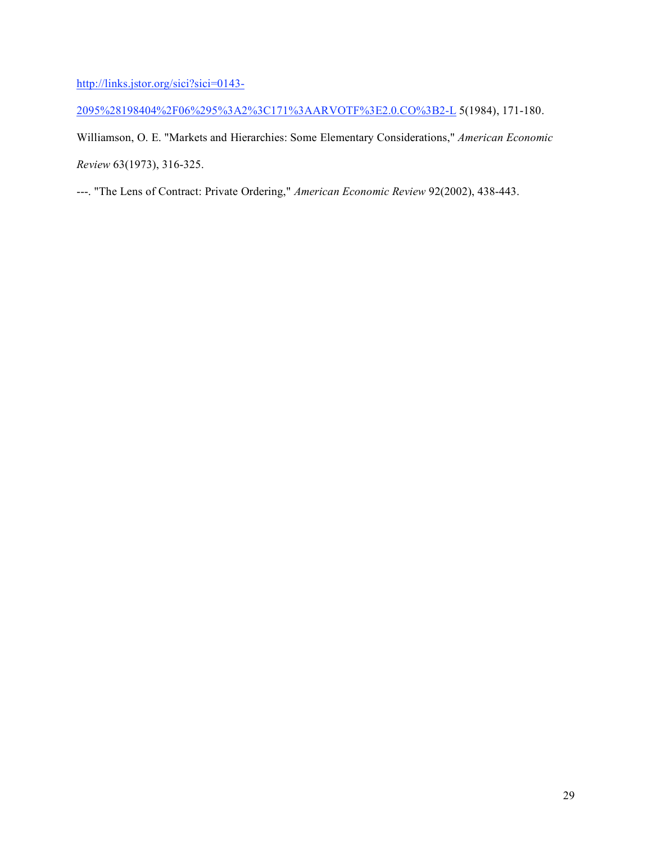http://links.jstor.org/sici?sici=0143-

2095%28198404%2F06%295%3A2%3C171%3AARVOTF%3E2.0.CO%3B2-L 5(1984), 171-180.

Williamson, O. E. "Markets and Hierarchies: Some Elementary Considerations," *American Economic Review* 63(1973), 316-325.

---. "The Lens of Contract: Private Ordering," *American Economic Review* 92(2002), 438-443.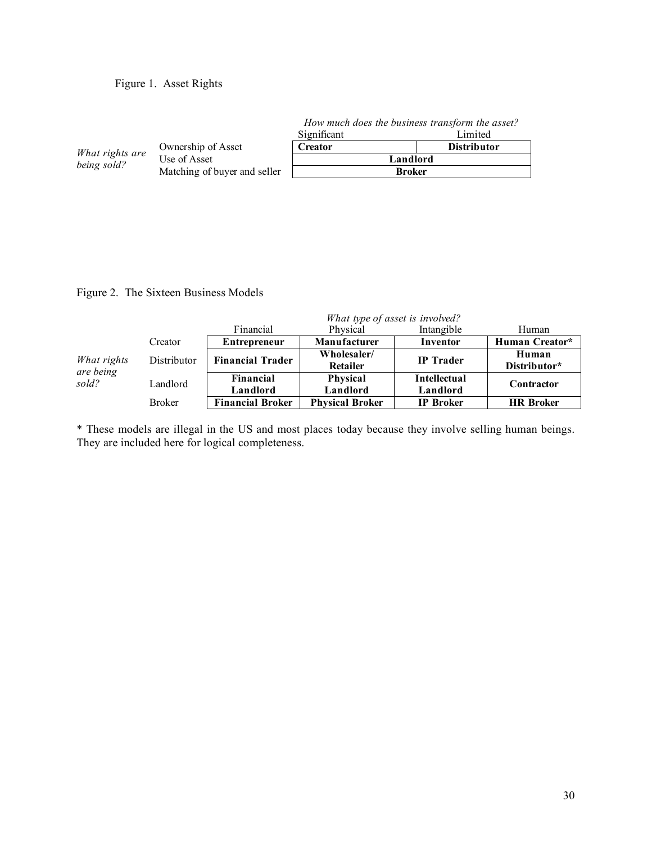## Figure 1. Asset Rights

|                                |                              | How much does the business transform the asset? |                    |  |
|--------------------------------|------------------------------|-------------------------------------------------|--------------------|--|
|                                |                              | Significant<br>Limited                          |                    |  |
|                                | Ownership of Asset           | <b>Creator</b>                                  | <b>Distributor</b> |  |
| What rights are<br>being sold? | Use of Asset                 | Landlord                                        |                    |  |
|                                | Matching of buyer and seller | Broker                                          |                    |  |
|                                |                              |                                                 |                    |  |

## Figure 2. The Sixteen Business Models

|                    |               | What type of asset is involved? |                        |                     |                       |  |  |
|--------------------|---------------|---------------------------------|------------------------|---------------------|-----------------------|--|--|
|                    |               | Financial                       | Physical               | Intangible          | Human                 |  |  |
|                    | Creator       | <b>Entrepreneur</b>             | <b>Manufacturer</b>    | Inventor            | <b>Human Creator*</b> |  |  |
| What rights        | Distributor   | <b>Financial Trader</b>         | Wholesaler/            | <b>IP</b> Trader    | Human                 |  |  |
| are being<br>sold? |               |                                 | <b>Retailer</b>        |                     | Distributor*          |  |  |
|                    | Landlord      | Financial                       | <b>Physical</b>        | <b>Intellectual</b> | Contractor            |  |  |
|                    |               | Landlord                        | Landlord               | Landlord            |                       |  |  |
|                    | <b>Broker</b> | <b>Financial Broker</b>         | <b>Physical Broker</b> | <b>IP Broker</b>    | <b>HR</b> Broker      |  |  |

\* These models are illegal in the US and most places today because they involve selling human beings. They are included here for logical completeness.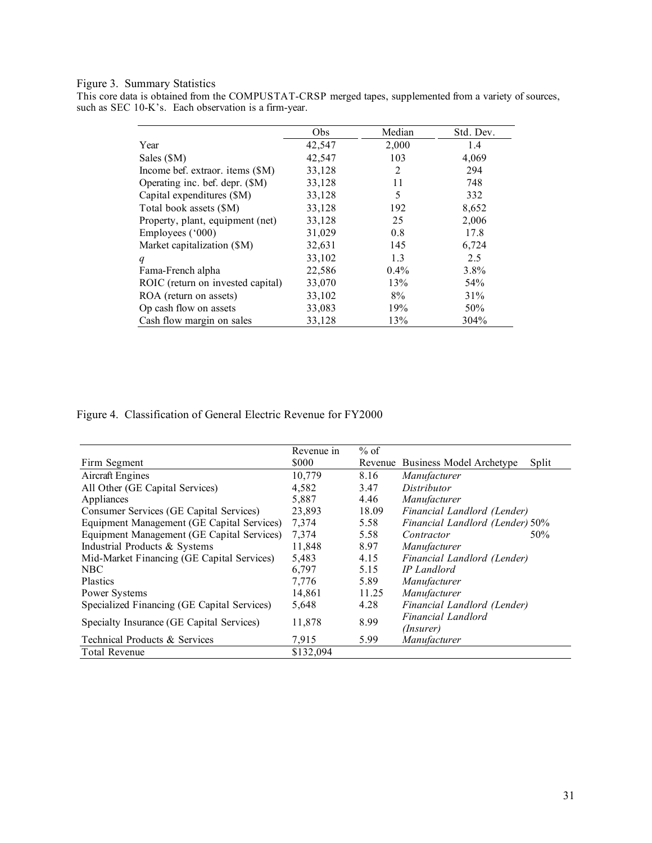## Figure 3. Summary Statistics

| This core data is obtained from the COMPUSTAT-CRSP merged tapes, supplemented from a variety of sources, |  |  |  |
|----------------------------------------------------------------------------------------------------------|--|--|--|
| such as SEC 10-K's. Each observation is a firm-year.                                                     |  |  |  |

|                                   | Obs.   | Median         | Std. Dev. |
|-----------------------------------|--------|----------------|-----------|
| Year                              | 42,547 | 2,000          | 1.4       |
| Sales (\$M)                       | 42,547 | 103            | 4,069     |
| Income bef. extraor. items (\$M)  | 33,128 | $\mathfrak{D}$ | 294       |
| Operating inc. bef. depr. (\$M)   | 33,128 | 11             | 748       |
| Capital expenditures (\$M)        | 33,128 | 5              | 332       |
| Total book assets (\$M)           | 33,128 | 192            | 8,652     |
| Property, plant, equipment (net)  | 33,128 | 25             | 2,006     |
| Employees ('000)                  | 31,029 | 0.8            | 17.8      |
| Market capitalization (\$M)       | 32,631 | 145            | 6,724     |
| q                                 | 33,102 | 1.3            | 2.5       |
| Fama-French alpha                 | 22,586 | $0.4\%$        | 3.8%      |
| ROIC (return on invested capital) | 33,070 | 13%            | 54%       |
| ROA (return on assets)            | 33,102 | $8\%$          | 31%       |
| Op cash flow on assets            | 33,083 | 19%            | 50%       |
| Cash flow margin on sales         | 33,128 | 13%            | 304%      |

# Figure 4. Classification of General Electric Revenue for FY2000

|                                             | Revenue in | $%$ of |                                           |
|---------------------------------------------|------------|--------|-------------------------------------------|
| Firm Segment                                | \$000      |        | Revenue Business Model Archetype<br>Split |
| <b>Aircraft Engines</b>                     | 10,779     | 8.16   | Manufacturer                              |
| All Other (GE Capital Services)             | 4,582      | 3.47   | Distributor                               |
| Appliances                                  | 5,887      | 4.46   | Manufacturer                              |
| Consumer Services (GE Capital Services)     | 23,893     | 18.09  | Financial Landlord (Lender)               |
| Equipment Management (GE Capital Services)  | 7,374      | 5.58   | Financial Landlord (Lender) 50%           |
| Equipment Management (GE Capital Services)  | 7,374      | 5.58   | 50%<br>Contractor                         |
| Industrial Products & Systems               | 11,848     | 8.97   | Manufacturer                              |
| Mid-Market Financing (GE Capital Services)  | 5,483      | 4.15   | Financial Landlord (Lender)               |
| NBC.                                        | 6,797      | 5.15   | <b>IP</b> Landlord                        |
| Plastics                                    | 7,776      | 5.89   | Manufacturer                              |
| Power Systems                               | 14,861     | 11.25  | Manufacturer                              |
| Specialized Financing (GE Capital Services) | 5,648      | 4.28   | Financial Landlord (Lender)               |
| Specialty Insurance (GE Capital Services)   | 11,878     | 8.99   | <b>Financial Landlord</b><br>(Insurer)    |
| Technical Products & Services               | 7,915      | 5.99   | Manufacturer                              |
| <b>Total Revenue</b>                        | \$132,094  |        |                                           |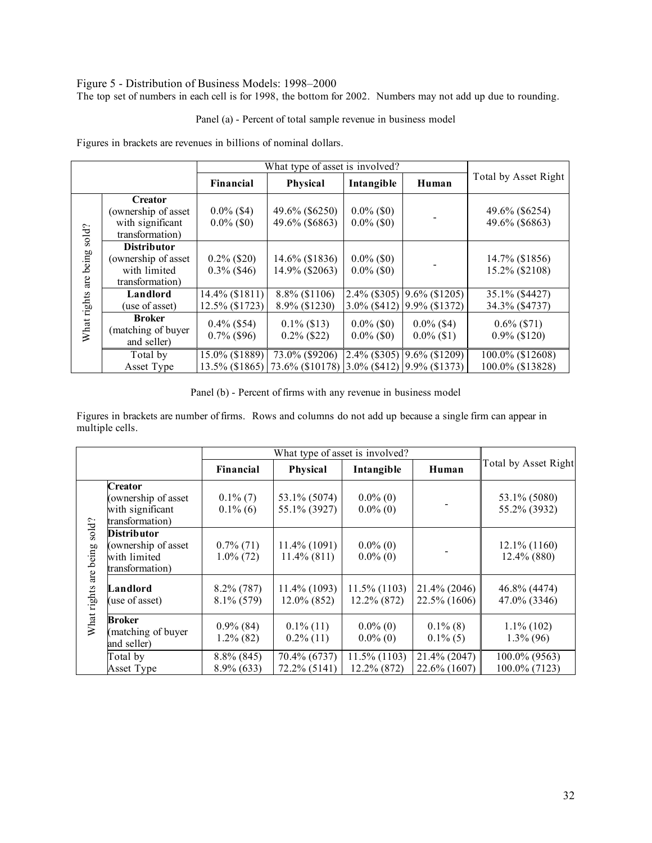## Figure 5 - Distribution of Business Models: 1998–2000

The top set of numbers in each cell is for 1998, the bottom for 2002. Numbers may not add up due to rounding.

## Panel (a) - Percent of total sample revenue in business model

Figures in brackets are revenues in billions of nominal dollars.

|                       |                                                                              | What type of asset is involved?  |                                                               |                                 |                                      |                                      |
|-----------------------|------------------------------------------------------------------------------|----------------------------------|---------------------------------------------------------------|---------------------------------|--------------------------------------|--------------------------------------|
|                       |                                                                              | <b>Financial</b>                 | Physical                                                      | Intangible                      | Human                                | Total by Asset Right                 |
| sold?<br>being<br>are | <b>Creator</b><br>(ownership of asset<br>with significant<br>transformation) | $0.0\%$ (\$4)<br>$0.0\%$ (\$0)   | 49.6% (\$6250)<br>49.6% (\$6863)                              | $0.0\%$ (\$0)<br>$0.0\%$ (\$0)  |                                      | 49.6% (\$6254)<br>49.6% (\$6863)     |
|                       | <b>Distributor</b><br>(ownership of asset<br>with limited<br>transformation) | $0.2\%$ (\$20)<br>$0.3\%$ (\$46) | 14.6% (\$1836)<br>14.9% (\$2063)                              | $0.0\%$ (\$0)<br>$0.0\%$ (\$0)  |                                      | 14.7% (\$1856)<br>15.2% (\$2108)     |
|                       | Landlord<br>(use of asset)                                                   | 14.4% (\$1811)<br>12.5% (\$1723) | 8.8% (\$1106)<br>8.9% (\$1230)                                | 2.4% (\$305)<br>$3.0\%$ (\$412) | $9.6\%$ (\$1205)<br>9.9% (\$1372)    | 35.1% (\$4427)<br>34.3% (\$4737)     |
| What rights           | <b>Broker</b><br>(matching of buyer<br>and seller)                           | $0.4\%$ (\$54)<br>$0.7\%$ (\$96) | $0.1\%$ (\$13)<br>$0.2\%$ (\$22)                              | $0.0\%$ (\$0)<br>$0.0\%$ (\$0)  | $0.0\%$ (\$4)<br>$0.0\%$ (\$1)       | $0.6\%$ (\$71)<br>$0.9\%$ (\$120)    |
|                       | Total by<br>Asset Type                                                       | 15.0% (\$1889)                   | 73.0% (\$9206)<br>13.5% (\$1865) 73.6% (\$10178) 3.0% (\$412) | 2.4% (\$305)                    | $9.6\%$ (\$1209)<br>$9.9\%$ (\$1373) | 100.0% (\$12608)<br>100.0% (\$13828) |

Panel (b) - Percent of firms with any revenue in business model

Figures in brackets are number of firms. Rows and columns do not add up because a single firm can appear in multiple cells.

|                                |                                                                              | Financial                      | Physical                          | Intangible                     | Human                           | Total by Asset Right              |
|--------------------------------|------------------------------------------------------------------------------|--------------------------------|-----------------------------------|--------------------------------|---------------------------------|-----------------------------------|
| sold?<br>What rights are being | <b>Creator</b><br>(ownership of asset<br>with significant<br>transformation) | $0.1\%$ (7)<br>$0.1\%$ (6)     | 53.1% (5074)<br>55.1% (3927)      | $0.0\%$ (0)<br>$0.0\%$ (0)     |                                 | 53.1% (5080)<br>55.2% (3932)      |
|                                | Distributor<br>(ownership of asset<br>with limited<br>transformation)        | $0.7\%$ (71)<br>$1.0\%$ (72)   | $11.4\%$ (1091)<br>$11.4\%$ (811) | $0.0\%$ (0)<br>$0.0\%$ (0)     |                                 | $12.1\%$ (1160)<br>$12.4\%$ (880) |
|                                | Landlord<br>(use of asset)                                                   | $8.2\%$ (787)<br>$8.1\% (579)$ | 11.4% (1093)<br>12.0% (852)       | $11.5\% (1103)$<br>12.2% (872) | 21.4% (2046)<br>22.5% (1606)    | 46.8% (4474)<br>47.0% (3346)      |
|                                | <b>Broker</b><br>(matching of buyer<br>and seller)                           | $0.9\%$ (84)<br>$1.2\%$ (82)   | $0.1\%$ (11)<br>$0.2\%$ (11)      | $0.0\%$ (0)<br>$0.0\%$ (0)     | $0.1\%$ (8)<br>$0.1\%$ (5)      | $1.1\%$ (102)<br>$1.3\%$ (96)     |
|                                | Total by<br>Asset Type                                                       | $8.8\%$ (845)<br>8.9% (633)    | 70.4% (6737)<br>72.2% (5141)      | $11.5\% (1103)$<br>12.2% (872) | 21.4% (2047)<br>$22.6\%$ (1607) | 100.0% (9563)<br>100.0% (7123)    |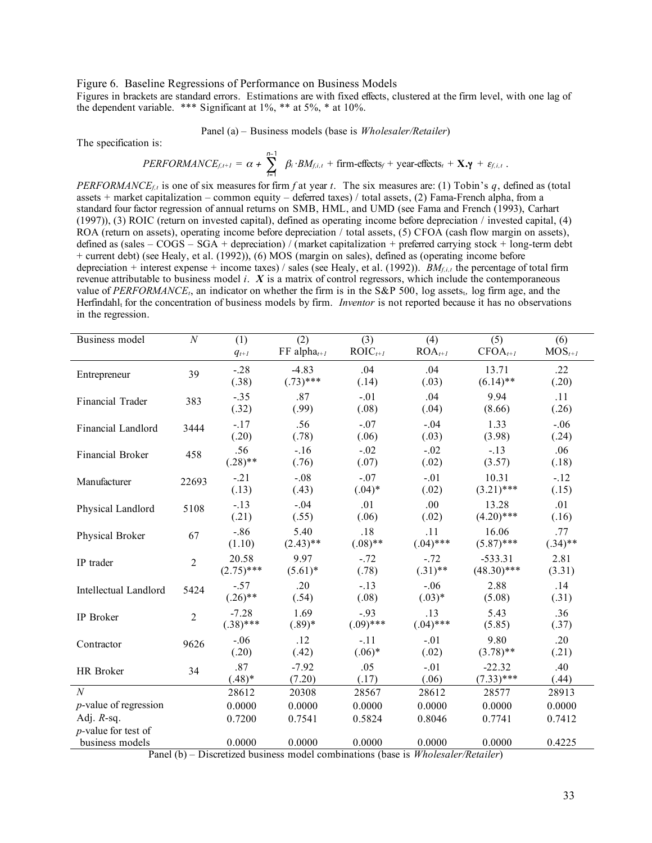Figure 6. Baseline Regressions of Performance on Business Models

Figures in brackets are standard errors. Estimations are with fixed effects, clustered at the firm level, with one lag of the dependent variable. \*\*\* Significant at 1%, \*\* at 5%, \* at 10%.

Panel (a) – Business models (base is *Wholesaler/Retailer*)

The specification is:

$$
PERFORMANCE_{f,t+1} = \alpha + \sum_{i=1}^{n-1} \beta_i \cdot BM_{f,i,t} + \text{firm-effects}_f + \text{year-effects}_t + \mathbf{X}.\boldsymbol{\gamma} + \varepsilon_{f,i,t}.
$$

*PERFORMANCE<sub>ft</sub>* is one of six measures for firm  $f$  at year  $t$ . The six measures are: (1) Tobin's  $q$ , defined as (total assets + market capitalization – common equity – deferred taxes) / total assets, (2) Fama-French alpha, from a standard four factor regression of annual returns on SMB, HML, and UMD (see Fama and French (1993), Carhart (1997)), (3) ROIC (return on invested capital), defined as operating income before depreciation / invested capital, (4) ROA (return on assets), operating income before depreciation / total assets, (5) CFOA (cash flow margin on assets), defined as (sales – COGS – SGA + depreciation) / (market capitalization + preferred carrying stock + long-term debt + current debt) (see Healy, et al. (1992)), (6) MOS (margin on sales), defined as (operating income before depreciation + interest expense + income taxes) / sales (see Healy, et al. (1992)). *BM<sub>f,i,t</sub>* the percentage of total firm revenue attributable to business model *i*. *X* is a matrix of control regressors, which include the contemporaneous value of *PERFORMANCE<sub>t</sub>*, an indicator on whether the firm is in the S&P 500, log assets<sub>t</sub>, log firm age, and the Herfindahl<sub>t</sub> for the concentration of business models by firm. *Inventor* is not reported because it has no observations in the regression.

| <b>Business model</b>                     | $\cal N$       | (1)                    | (2)                                    | (3)                   | (4)                   | (5)                        | (6)               |
|-------------------------------------------|----------------|------------------------|----------------------------------------|-----------------------|-----------------------|----------------------------|-------------------|
|                                           |                | $q_{t+1}$              | $FF$ alpha <sub><math>t+1</math></sub> | $ROIC_{t+1}$          | $ROA_{t+1}$           | $CFOA_{t+1}$               | $MOS_{t+1}$       |
| Entrepreneur                              | 39             | $-.28$<br>(.38)        | $-4.83$<br>$(.73)$ ***                 | .04<br>(.14)          | .04<br>(.03)          | 13.71<br>$(6.14)$ **       | .22<br>(.20)      |
| Financial Trader                          | 383            | $-.35$<br>(.32)        | .87<br>(.99)                           | $-.01$<br>(.08)       | .04<br>(.04)          | 9.94<br>(8.66)             | .11<br>(.26)      |
| <b>Financial Landlord</b>                 | 3444           | $-.17$<br>(.20)        | .56<br>(.78)                           | $-.07$<br>(.06)       | $-0.04$<br>(.03)      | 1.33<br>(3.98)             | $-.06$<br>(.24)   |
| Financial Broker                          | 458            | .56<br>$(.28)$ **      | $-16$<br>(.76)                         | $-.02$<br>(.07)       | $-.02$<br>(.02)       | $-.13$<br>(3.57)           | .06<br>(.18)      |
| Manufacturer                              | 22693          | $-.21$<br>(.13)        | $-.08$<br>(.43)                        | $-.07$<br>$(.04)*$    | $-.01$<br>(.02)       | 10.31<br>$(3.21)$ ***      | $-.12$<br>(.15)   |
| Physical Landlord                         | 5108           | $-.13$<br>(.21)        | $-.04$<br>(.55)                        | .01<br>(.06)          | .00<br>(.02)          | 13.28<br>$(4.20)$ ***      | .01<br>(.16)      |
| Physical Broker                           | 67             | $-.86$<br>(1.10)       | 5.40<br>$(2.43)$ **                    | .18<br>$(.08)$ **     | .11<br>$(.04)$ ***    | 16.06<br>$(5.87)$ ***      | .77<br>$(.34)$ ** |
| IP trader                                 | $\overline{2}$ | 20.58<br>$(2.75)$ ***  | 9.97<br>$(5.61)^*$                     | $-.72$<br>(.78)       | $-0.72$<br>$(.31)$ ** | $-533.31$<br>$(48.30)$ *** | 2.81<br>(3.31)    |
| <b>Intellectual Landlord</b>              | 5424           | $-.57$<br>$(.26)$ **   | .20<br>(.54)                           | $-13$<br>(.08)        | $-.06$<br>$(.03)*$    | 2.88<br>(5.08)             | .14<br>(.31)      |
| IP Broker                                 | $\overline{2}$ | $-7.28$<br>$(.38)$ *** | 1.69<br>$(.89)*$                       | $-.93$<br>$(.09)$ *** | .13<br>$(.04)$ ***    | 5.43<br>(5.85)             | .36<br>(.37)      |
| Contractor                                | 9626           | $-.06$<br>(.20)        | .12<br>(.42)                           | $-.11$<br>$(.06)*$    | $-.01$<br>(.02)       | 9.80<br>$(3.78)$ **        | .20<br>(.21)      |
| HR Broker                                 | 34             | .87<br>$(.48)*$        | $-7.92$<br>(7.20)                      | .05<br>(.17)          | $-.01$<br>(.06)       | $-22.32$<br>$(7.33)$ ***   | .40<br>(.44)      |
| $\mathcal N$                              |                | 28612                  | 20308                                  | 28567                 | 28612                 | 28577                      | 28913             |
| $p$ -value of regression                  |                | 0.0000                 | 0.0000                                 | 0.0000                | 0.0000                | 0.0000                     | 0.0000            |
| Adj. $R$ -sq.                             |                | 0.7200                 | 0.7541                                 | 0.5824                | 0.8046                | 0.7741                     | 0.7412            |
| $p$ -value for test of<br>business models |                | 0.0000                 | 0.0000                                 | 0.0000                | 0.0000                | 0.0000                     | 0.4225            |

Panel (b) – Discretized business model combinations (base is *Wholesaler/Retailer*)